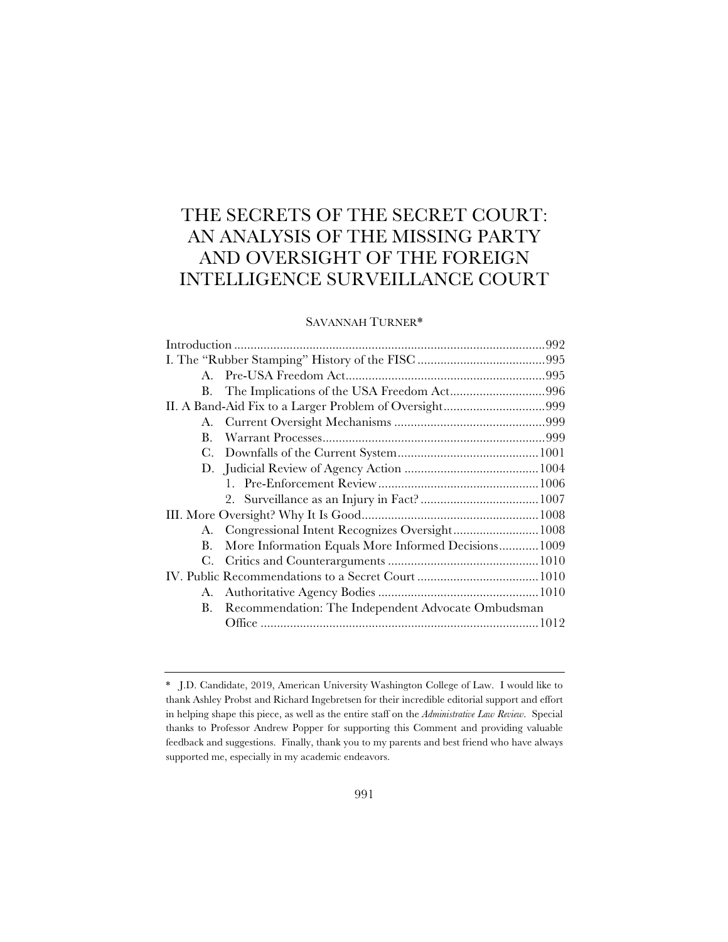# THE SECRETS OF THE SECRET COURT: AN ANALYSIS OF THE MISSING PARTY AND OVERSIGHT OF THE FOREIGN INTELLIGENCE SURVEILLANCE COURT

# SAVANNAH TURNER\*

| $A_{\cdot}$ |                                                      |  |
|-------------|------------------------------------------------------|--|
| В.          | The Implications of the USA Freedom Act996           |  |
|             |                                                      |  |
| A.          |                                                      |  |
| B.          |                                                      |  |
| С.          |                                                      |  |
|             |                                                      |  |
|             |                                                      |  |
|             |                                                      |  |
|             |                                                      |  |
|             |                                                      |  |
| В.          | More Information Equals More Informed Decisions 1009 |  |
| C.          |                                                      |  |
|             |                                                      |  |
|             |                                                      |  |
| <b>B.</b>   | Recommendation: The Independent Advocate Ombudsman   |  |
|             |                                                      |  |
|             |                                                      |  |

<sup>\*</sup> J.D. Candidate, 2019, American University Washington College of Law. I would like to thank Ashley Probst and Richard Ingebretsen for their incredible editorial support and effort in helping shape this piece, as well as the entire staff on the *Administrative Law Review*. Special thanks to Professor Andrew Popper for supporting this Comment and providing valuable feedback and suggestions. Finally, thank you to my parents and best friend who have always supported me, especially in my academic endeavors.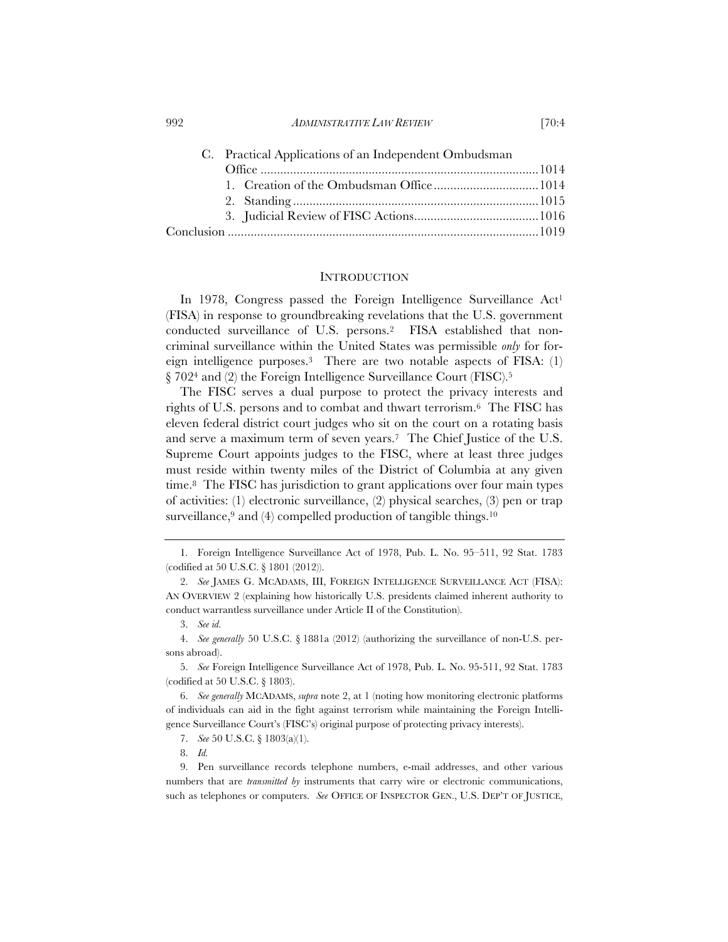| C. Practical Applications of an Independent Ombudsman |  |  |
|-------------------------------------------------------|--|--|
|                                                       |  |  |
|                                                       |  |  |
|                                                       |  |  |
|                                                       |  |  |
|                                                       |  |  |

#### INTRODUCTION

In 1978, Congress passed the Foreign Intelligence Surveillance Act<sup>1</sup> (FISA) in response to groundbreaking revelations that the U.S. government conducted surveillance of U.S. persons.2 FISA established that noncriminal surveillance within the United States was permissible *only* for foreign intelligence purposes.3 There are two notable aspects of FISA: (1) § 7024 and (2) the Foreign Intelligence Surveillance Court (FISC).5

The FISC serves a dual purpose to protect the privacy interests and rights of U.S. persons and to combat and thwart terrorism.6 The FISC has eleven federal district court judges who sit on the court on a rotating basis and serve a maximum term of seven years.7 The Chief Justice of the U.S. Supreme Court appoints judges to the FISC, where at least three judges must reside within twenty miles of the District of Columbia at any given time.8 The FISC has jurisdiction to grant applications over four main types of activities: (1) electronic surveillance, (2) physical searches, (3) pen or trap surveillance, $9$  and (4) compelled production of tangible things.<sup>10</sup>

<sup>1</sup>. Foreign Intelligence Surveillance Act of 1978, Pub. L. No. 95–511, 92 Stat. 1783 (codified at 50 U.S.C. § 1801 (2012)).

<sup>2.</sup> *See* JAMES G. MCADAMS, III, FOREIGN INTELLIGENCE SURVEILLANCE ACT (FISA): AN OVERVIEW 2 (explaining how historically U.S. presidents claimed inherent authority to conduct warrantless surveillance under Article II of the Constitution).

<sup>3.</sup> *See id.* 

<sup>4.</sup> *See generally* 50 U.S.C. § 1881a (2012) (authorizing the surveillance of non-U.S. persons abroad).

<sup>5.</sup> *See* Foreign Intelligence Surveillance Act of 1978, Pub. L. No. 95-511, 92 Stat. 1783 (codified at 50 U.S.C. § 1803).

<sup>6.</sup> *See generally* MCADAMS, *supra* note 2, at 1 (noting how monitoring electronic platforms of individuals can aid in the fight against terrorism while maintaining the Foreign Intelligence Surveillance Court's (FISC's) original purpose of protecting privacy interests).

<sup>7.</sup> *See* 50 U.S.C. § 1803(a)(1).

<sup>8.</sup> *Id.*

<sup>9.</sup> Pen surveillance records telephone numbers, e-mail addresses, and other various numbers that are *transmitted by* instruments that carry wire or electronic communications, such as telephones or computers. *See* OFFICE OF INSPECTOR GEN., U.S. DEP'T OF JUSTICE,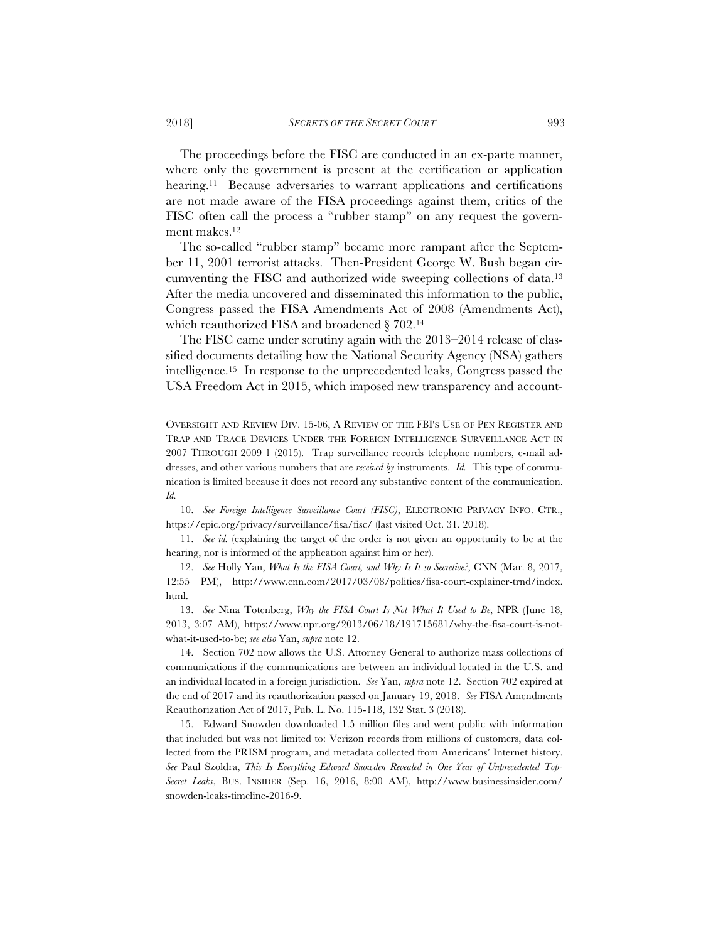The proceedings before the FISC are conducted in an ex-parte manner, where only the government is present at the certification or application hearing.11 Because adversaries to warrant applications and certifications are not made aware of the FISA proceedings against them, critics of the FISC often call the process a "rubber stamp" on any request the government makes.12

The so-called "rubber stamp" became more rampant after the September 11, 2001 terrorist attacks. Then-President George W. Bush began circumventing the FISC and authorized wide sweeping collections of data.13 After the media uncovered and disseminated this information to the public, Congress passed the FISA Amendments Act of 2008 (Amendments Act), which reauthorized FISA and broadened § 702.14

The FISC came under scrutiny again with the 2013–2014 release of classified documents detailing how the National Security Agency (NSA) gathers intelligence.15 In response to the unprecedented leaks, Congress passed the USA Freedom Act in 2015, which imposed new transparency and account-

OVERSIGHT AND REVIEW DIV. 15-06, A REVIEW OF THE FBI'S USE OF PEN REGISTER AND TRAP AND TRACE DEVICES UNDER THE FOREIGN INTELLIGENCE SURVEILLANCE ACT IN 2007 THROUGH 2009 1 (2015). Trap surveillance records telephone numbers, e-mail addresses, and other various numbers that are *received by* instruments. *Id.* This type of communication is limited because it does not record any substantive content of the communication. *Id.*

10. *See Foreign Intelligence Surveillance Court (FISC)*, ELECTRONIC PRIVACY INFO. CTR., https://epic.org/privacy/surveillance/fisa/fisc/ (last visited Oct. 31, 2018).

11. *See id.* (explaining the target of the order is not given an opportunity to be at the hearing, nor is informed of the application against him or her).

12. *See* Holly Yan, *What Is the FISA Court, and Why Is It so Secretive?*, CNN (Mar. 8, 2017, 12:55 PM), http://www.cnn.com/2017/03/08/politics/fisa-court-explainer-trnd/index. html.

13. *See* Nina Totenberg, *Why the FISA Court Is Not What It Used to Be*, NPR (June 18, 2013, 3:07 AM), https://www.npr.org/2013/06/18/191715681/why-the-fisa-court-is-notwhat-it-used-to-be; *see also* Yan, *supra* note 12.

14. Section 702 now allows the U.S. Attorney General to authorize mass collections of communications if the communications are between an individual located in the U.S. and an individual located in a foreign jurisdiction. *See* Yan, *supra* note 12. Section 702 expired at the end of 2017 and its reauthorization passed on January 19, 2018. *See* FISA Amendments Reauthorization Act of 2017, Pub. L. No. 115-118, 132 Stat. 3 (2018).

15. Edward Snowden downloaded 1.5 million files and went public with information that included but was not limited to: Verizon records from millions of customers, data collected from the PRISM program, and metadata collected from Americans' Internet history. *See* Paul Szoldra, *This Is Everything Edward Snowden Revealed in One Year of Unprecedented Top-Secret Leaks*, BUS. INSIDER (Sep. 16, 2016, 8:00 AM), http://www.businessinsider.com/ snowden-leaks-timeline-2016-9.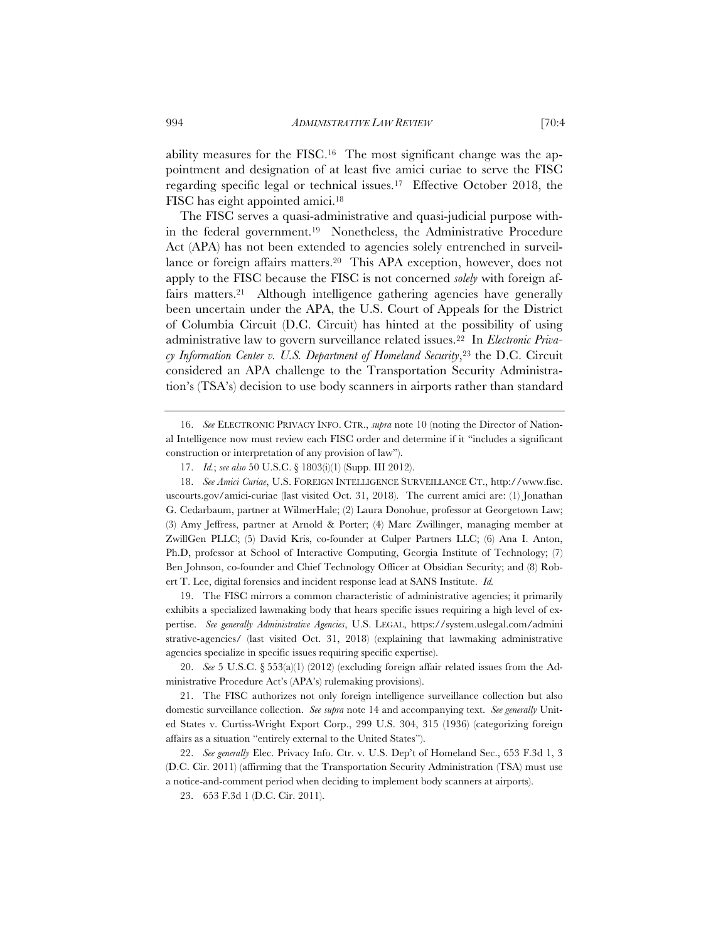ability measures for the FISC.16 The most significant change was the appointment and designation of at least five amici curiae to serve the FISC regarding specific legal or technical issues.17 Effective October 2018, the FISC has eight appointed amici.18

The FISC serves a quasi-administrative and quasi-judicial purpose within the federal government.19 Nonetheless, the Administrative Procedure Act (APA) has not been extended to agencies solely entrenched in surveillance or foreign affairs matters.20 This APA exception, however, does not apply to the FISC because the FISC is not concerned *solely* with foreign affairs matters.<sup>21</sup> Although intelligence gathering agencies have generally been uncertain under the APA, the U.S. Court of Appeals for the District of Columbia Circuit (D.C. Circuit) has hinted at the possibility of using administrative law to govern surveillance related issues.22 In *Electronic Privacy Information Center v. U.S. Department of Homeland Security*,<sup>23</sup> the D.C. Circuit considered an APA challenge to the Transportation Security Administration's (TSA's) decision to use body scanners in airports rather than standard

16. *See* ELECTRONIC PRIVACY INFO. CTR., *supra* note 10 (noting the Director of National Intelligence now must review each FISC order and determine if it "includes a significant construction or interpretation of any provision of law").

19. The FISC mirrors a common characteristic of administrative agencies; it primarily exhibits a specialized lawmaking body that hears specific issues requiring a high level of expertise. *See generally Administrative Agencies*, U.S. LEGAL, https://system.uslegal.com/admini strative-agencies/ (last visited Oct. 31, 2018) (explaining that lawmaking administrative agencies specialize in specific issues requiring specific expertise).

20. *See* 5 U.S.C. § 553(a)(1) (2012) (excluding foreign affair related issues from the Administrative Procedure Act's (APA's) rulemaking provisions).

21. The FISC authorizes not only foreign intelligence surveillance collection but also domestic surveillance collection. *See supra* note 14 and accompanying text. *See generally* United States v. Curtiss-Wright Export Corp., 299 U.S. 304, 315 (1936) (categorizing foreign affairs as a situation "entirely external to the United States").

22. *See generally* Elec. Privacy Info. Ctr. v. U.S. Dep't of Homeland Sec., 653 F.3d 1, 3 (D.C. Cir. 2011) (affirming that the Transportation Security Administration (TSA) must use a notice-and-comment period when deciding to implement body scanners at airports).

23. 653 F.3d 1 (D.C. Cir. 2011).

<sup>17.</sup> *Id.*; *see also* 50 U.S.C. § 1803(i)(1) (Supp. III 2012).

<sup>18.</sup> *See Amici Curiae*, U.S. FOREIGN INTELLIGENCE SURVEILLANCE CT., http://www.fisc. uscourts.gov/amici-curiae (last visited Oct. 31, 2018). The current amici are: (1) Jonathan G. Cedarbaum, partner at WilmerHale; (2) Laura Donohue, professor at Georgetown Law; (3) Amy Jeffress, partner at Arnold & Porter; (4) Marc Zwillinger, managing member at ZwillGen PLLC; (5) David Kris, co-founder at Culper Partners LLC; (6) Ana I. Anton, Ph.D, professor at School of Interactive Computing, Georgia Institute of Technology; (7) Ben Johnson, co-founder and Chief Technology Officer at Obsidian Security; and (8) Robert T. Lee, digital forensics and incident response lead at SANS Institute. *Id.*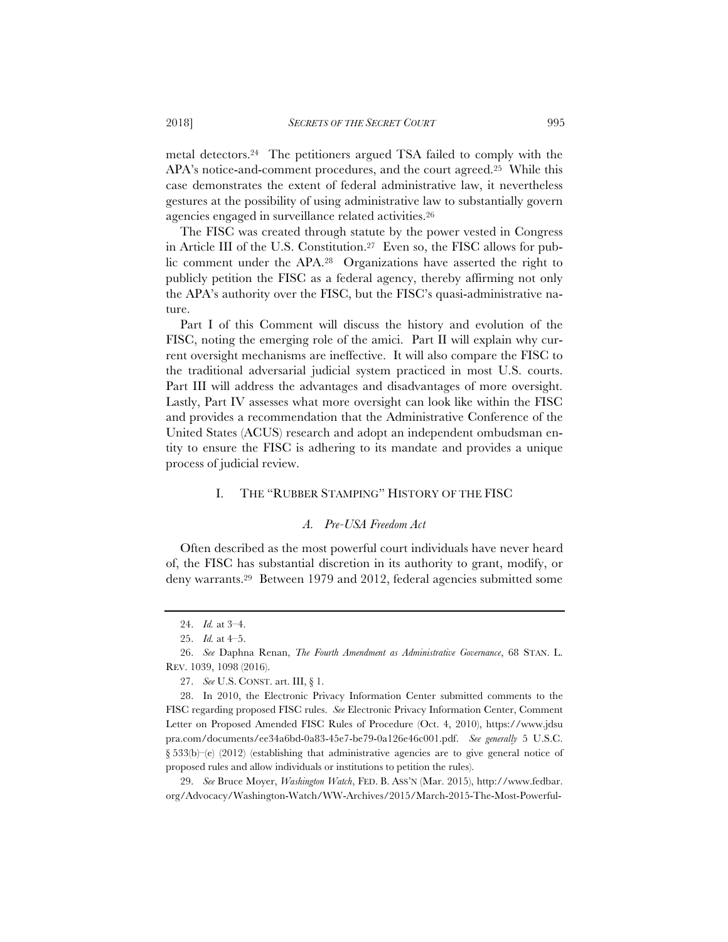metal detectors.24 The petitioners argued TSA failed to comply with the APA's notice-and-comment procedures, and the court agreed.25 While this case demonstrates the extent of federal administrative law, it nevertheless gestures at the possibility of using administrative law to substantially govern agencies engaged in surveillance related activities.26

The FISC was created through statute by the power vested in Congress in Article III of the U.S. Constitution.27 Even so, the FISC allows for public comment under the APA.28 Organizations have asserted the right to publicly petition the FISC as a federal agency, thereby affirming not only the APA's authority over the FISC, but the FISC's quasi-administrative nature.

Part I of this Comment will discuss the history and evolution of the FISC, noting the emerging role of the amici. Part II will explain why current oversight mechanisms are ineffective. It will also compare the FISC to the traditional adversarial judicial system practiced in most U.S. courts. Part III will address the advantages and disadvantages of more oversight. Lastly, Part IV assesses what more oversight can look like within the FISC and provides a recommendation that the Administrative Conference of the United States (ACUS) research and adopt an independent ombudsman entity to ensure the FISC is adhering to its mandate and provides a unique process of judicial review.

# I. THE "RUBBER STAMPING" HISTORY OF THE FISC

## *A. Pre-USA Freedom Act*

Often described as the most powerful court individuals have never heard of, the FISC has substantial discretion in its authority to grant, modify, or deny warrants.29 Between 1979 and 2012, federal agencies submitted some

29. *See* Bruce Moyer, *Washington Watch*, FED. B. ASS'N (Mar. 2015), http://www.fedbar. org/Advocacy/Washington-Watch/WW-Archives/2015/March-2015-The-Most-Powerful-

<sup>24.</sup> *Id.* at 3–4.

<sup>25.</sup> *Id.* at 4–5.

<sup>26.</sup> *See* Daphna Renan, *The Fourth Amendment as Administrative Governance*, 68 STAN. L. REV. 1039, 1098 (2016).

<sup>27.</sup> *See* U.S. CONST. art. III, § 1.

<sup>28.</sup> In 2010, the Electronic Privacy Information Center submitted comments to the FISC regarding proposed FISC rules. *See* Electronic Privacy Information Center, Comment Letter on Proposed Amended FISC Rules of Procedure (Oct. 4, 2010), https://www.jdsu pra.com/documents/ee34a6bd-0a83-45e7-be79-0a126e46c001.pdf. *See generally* 5 U.S.C.  $§$  533(b)–(e) (2012) (establishing that administrative agencies are to give general notice of proposed rules and allow individuals or institutions to petition the rules).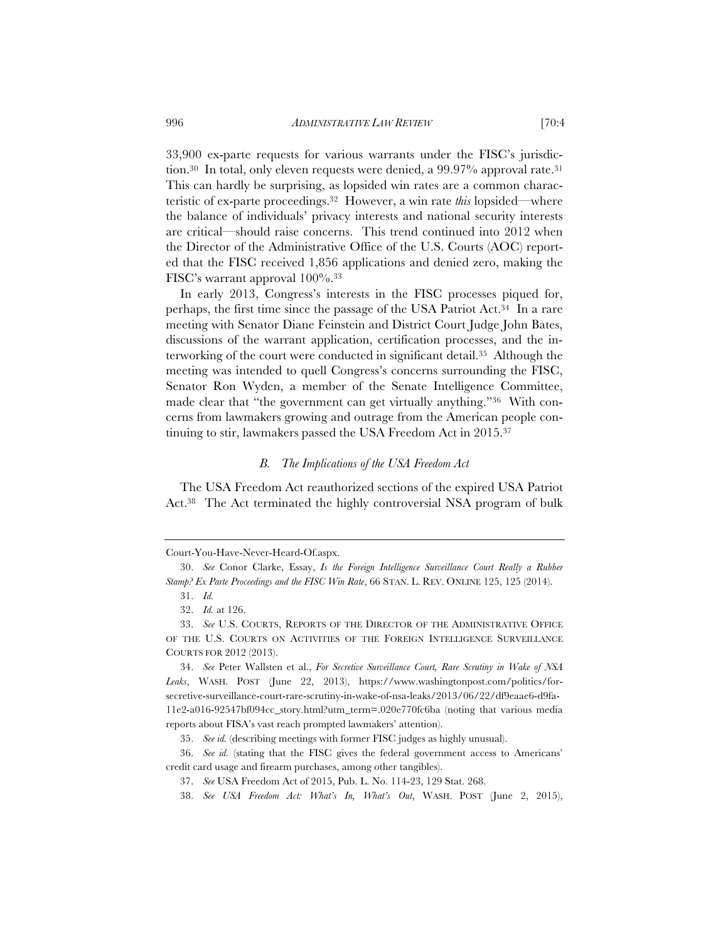33,900 ex-parte requests for various warrants under the FISC's jurisdiction.<sup>30</sup> In total, only eleven requests were denied, a 99.97% approval rate.<sup>31</sup> This can hardly be surprising, as lopsided win rates are a common characteristic of ex-parte proceedings.32 However, a win rate *this* lopsided—where the balance of individuals' privacy interests and national security interests are critical—should raise concerns. This trend continued into 2012 when the Director of the Administrative Office of the U.S. Courts (AOC) reported that the FISC received 1,856 applications and denied zero, making the FISC's warrant approval 100%.33

In early 2013, Congress's interests in the FISC processes piqued for, perhaps, the first time since the passage of the USA Patriot Act.34 In a rare meeting with Senator Diane Feinstein and District Court Judge John Bates, discussions of the warrant application, certification processes, and the interworking of the court were conducted in significant detail.35 Although the meeting was intended to quell Congress's concerns surrounding the FISC, Senator Ron Wyden, a member of the Senate Intelligence Committee, made clear that "the government can get virtually anything."36 With concerns from lawmakers growing and outrage from the American people continuing to stir, lawmakers passed the USA Freedom Act in 2015.37

# *B. The Implications of the USA Freedom Act*

The USA Freedom Act reauthorized sections of the expired USA Patriot Act.38 The Act terminated the highly controversial NSA program of bulk

Court-You-Have-Never-Heard-Of.aspx.

<sup>30.</sup> *See* Conor Clarke, Essay, *Is the Foreign Intelligence Surveillance Court Really a Rubber Stamp? Ex Parte Proceedings and the FISC Win Rate*, 66 STAN. L. REV. ONLINE 125, 125 (2014).

<sup>31.</sup> *Id.*

<sup>32.</sup> *Id.* at 126.

<sup>33.</sup> *See* U.S. COURTS, REPORTS OF THE DIRECTOR OF THE ADMINISTRATIVE OFFICE OF THE U.S. COURTS ON ACTIVITIES OF THE FOREIGN INTELLIGENCE SURVEILLANCE COURTS FOR 2012 (2013).

<sup>34.</sup> *See* Peter Wallsten et al., *For Secretive Surveillance Court, Rare Scrutiny in Wake of NSA Leaks*, WASH. POST (June 22, 2013), https://www.washingtonpost.com/politics/forsecretive-surveillance-court-rare-scrutiny-in-wake-of-nsa-leaks/2013/06/22/df9eaae6-d9fa-11e2-a016-92547bf094cc\_story.html?utm\_term=.020e770fc6ba (noting that various media reports about FISA's vast reach prompted lawmakers' attention).

<sup>35.</sup> *See id.* (describing meetings with former FISC judges as highly unusual).

<sup>36.</sup> *See id.* (stating that the FISC gives the federal government access to Americans' credit card usage and firearm purchases, among other tangibles).

<sup>37.</sup> *See* USA Freedom Act of 2015, Pub. L. No. 114-23, 129 Stat. 268.

<sup>38.</sup> *See USA Freedom Act: What's In, What's Out*, WASH. POST (June 2, 2015),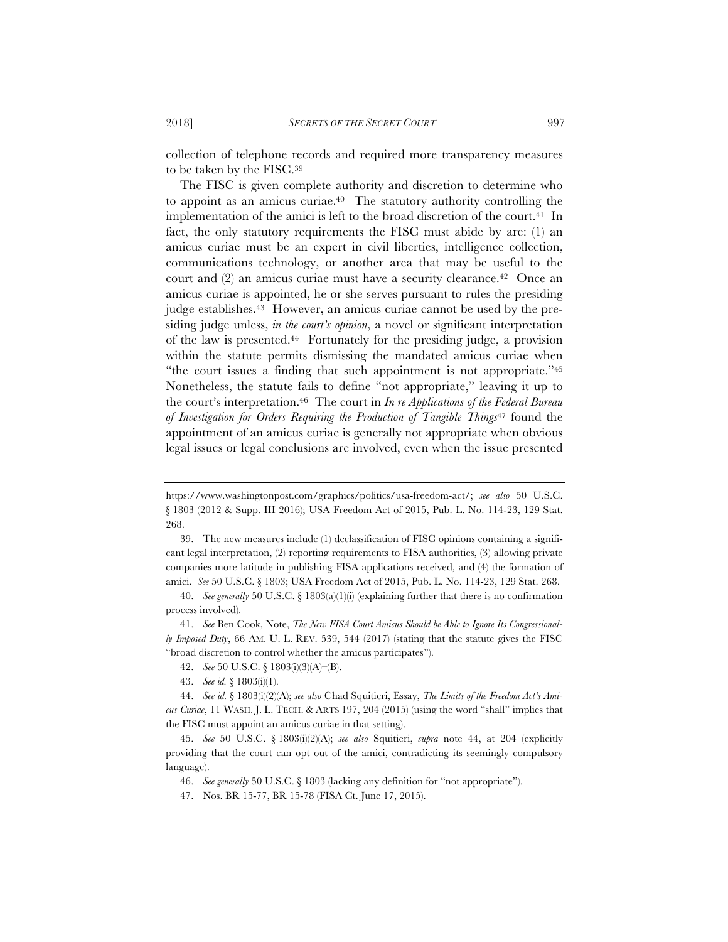collection of telephone records and required more transparency measures to be taken by the FISC.39

The FISC is given complete authority and discretion to determine who to appoint as an amicus curiae.40 The statutory authority controlling the implementation of the amici is left to the broad discretion of the court.<sup>41</sup> In fact, the only statutory requirements the FISC must abide by are: (1) an amicus curiae must be an expert in civil liberties, intelligence collection, communications technology, or another area that may be useful to the court and (2) an amicus curiae must have a security clearance.42 Once an amicus curiae is appointed, he or she serves pursuant to rules the presiding judge establishes.43 However, an amicus curiae cannot be used by the presiding judge unless, *in the court's opinion*, a novel or significant interpretation of the law is presented.44 Fortunately for the presiding judge, a provision within the statute permits dismissing the mandated amicus curiae when "the court issues a finding that such appointment is not appropriate."45 Nonetheless, the statute fails to define "not appropriate," leaving it up to the court's interpretation.46 The court in *In re Applications of the Federal Bureau of Investigation for Orders Requiring the Production of Tangible Things*47 found the appointment of an amicus curiae is generally not appropriate when obvious legal issues or legal conclusions are involved, even when the issue presented

https://www.washingtonpost.com/graphics/politics/usa-freedom-act/; *see also* 50 U.S.C. § 1803 (2012 & Supp. III 2016); USA Freedom Act of 2015, Pub. L. No. 114-23, 129 Stat. 268.

<sup>39.</sup> The new measures include (1) declassification of FISC opinions containing a significant legal interpretation, (2) reporting requirements to FISA authorities, (3) allowing private companies more latitude in publishing FISA applications received, and (4) the formation of amici. *See* 50 U.S.C. § 1803; USA Freedom Act of 2015, Pub. L. No. 114-23, 129 Stat. 268.

<sup>40.</sup> *See generally* 50 U.S.C. § 1803(a)(1)(i) (explaining further that there is no confirmation process involved).

<sup>41.</sup> *See* Ben Cook, Note, *The New FISA Court Amicus Should be Able to Ignore Its Congressionally Imposed Duty*, 66 AM. U. L. REV. 539, 544 (2017) (stating that the statute gives the FISC "broad discretion to control whether the amicus participates").

<sup>42.</sup> *See* 50 U.S.C. § 1803(i)(3)(A)–(B).

<sup>43.</sup> *See id.* § 1803(i)(1).

<sup>44.</sup> *See id.* § 1803(i)(2)(A); *see also* Chad Squitieri, Essay, *The Limits of the Freedom Act's Amicus Curiae*, 11 WASH. J. L. TECH.&ARTS 197, 204 (2015) (using the word "shall" implies that the FISC must appoint an amicus curiae in that setting).

<sup>45.</sup> *See* 50 U.S.C. § 1803(i)(2)(A); *see also* Squitieri, *supra* note 44, at 204 (explicitly providing that the court can opt out of the amici, contradicting its seemingly compulsory language).

<sup>46.</sup> *See generally* 50 U.S.C. § 1803 (lacking any definition for "not appropriate").

<sup>47.</sup> Nos. BR 15-77, BR 15-78 (FISA Ct. June 17, 2015).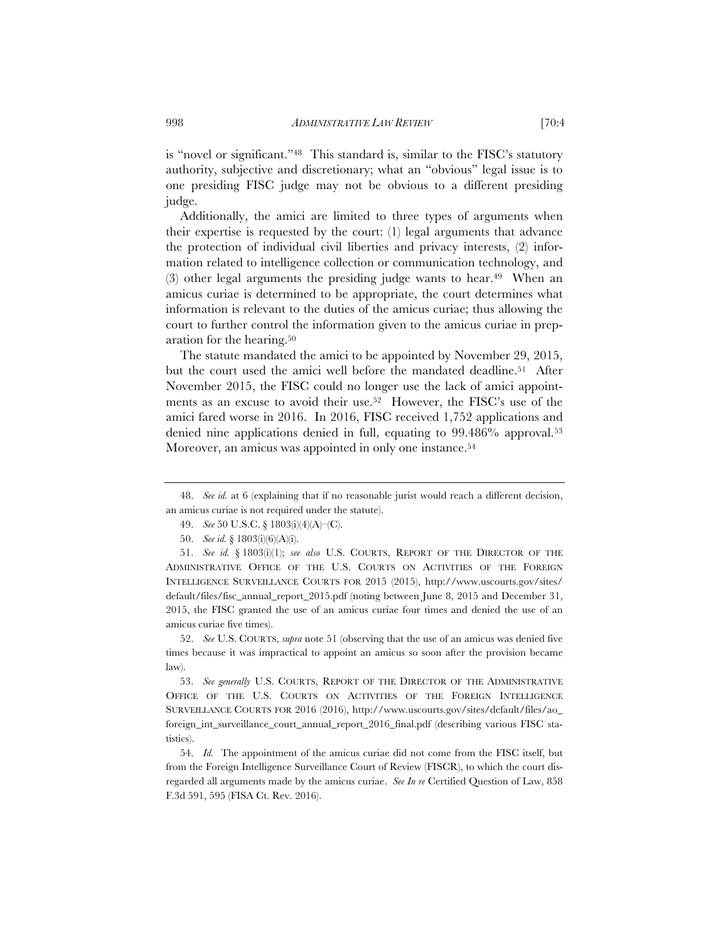is "novel or significant."48 This standard is, similar to the FISC's statutory authority, subjective and discretionary; what an "obvious" legal issue is to one presiding FISC judge may not be obvious to a different presiding judge.

Additionally, the amici are limited to three types of arguments when their expertise is requested by the court: (1) legal arguments that advance the protection of individual civil liberties and privacy interests, (2) information related to intelligence collection or communication technology, and  $(3)$  other legal arguments the presiding judge wants to hear.<sup>49</sup> When an amicus curiae is determined to be appropriate, the court determines what information is relevant to the duties of the amicus curiae; thus allowing the court to further control the information given to the amicus curiae in preparation for the hearing.50

The statute mandated the amici to be appointed by November 29, 2015, but the court used the amici well before the mandated deadline.<sup>51</sup> After November 2015, the FISC could no longer use the lack of amici appointments as an excuse to avoid their use.52 However, the FISC's use of the amici fared worse in 2016. In 2016, FISC received 1,752 applications and denied nine applications denied in full, equating to 99.486% approval.53 Moreover, an amicus was appointed in only one instance.<sup>54</sup>

52. *See* U.S. COURTS, *supra* note 51 (observing that the use of an amicus was denied five times because it was impractical to appoint an amicus so soon after the provision became law).

53. *See generally* U.S. COURTS, REPORT OF THE DIRECTOR OF THE ADMINISTRATIVE OFFICE OF THE U.S. COURTS ON ACTIVITIES OF THE FOREIGN INTELLIGENCE SURVEILLANCE COURTS FOR 2016 (2016), http://www.uscourts.gov/sites/default/files/ao\_ foreign\_int\_surveillance\_court\_annual\_report\_2016\_final.pdf (describing various FISC statistics).

54. *Id.* The appointment of the amicus curiae did not come from the FISC itself, but from the Foreign Intelligence Surveillance Court of Review (FISCR), to which the court disregarded all arguments made by the amicus curiae. *See In re* Certified Question of Law, 858 F.3d 591, 595 (FISA Ct. Rev. 2016).

<sup>48.</sup> *See id.* at 6 (explaining that if no reasonable jurist would reach a different decision, an amicus curiae is not required under the statute).

<sup>49.</sup> *See* 50 U.S.C. § 1803(i)(4)(A)–(C).

<sup>50.</sup> *See id.* § 1803(i)(6)(A)(i).

<sup>51.</sup> *See id.* § 1803(i)(1); *see also* U.S. COURTS, REPORT OF THE DIRECTOR OF THE ADMINISTRATIVE OFFICE OF THE U.S. COURTS ON ACTIVITIES OF THE FOREIGN INTELLIGENCE SURVEILLANCE COURTS FOR 2015 (2015), http://www.uscourts.gov/sites/ default/files/fisc\_annual\_report\_2015.pdf (noting between June 8, 2015 and December 31, 2015, the FISC granted the use of an amicus curiae four times and denied the use of an amicus curiae five times).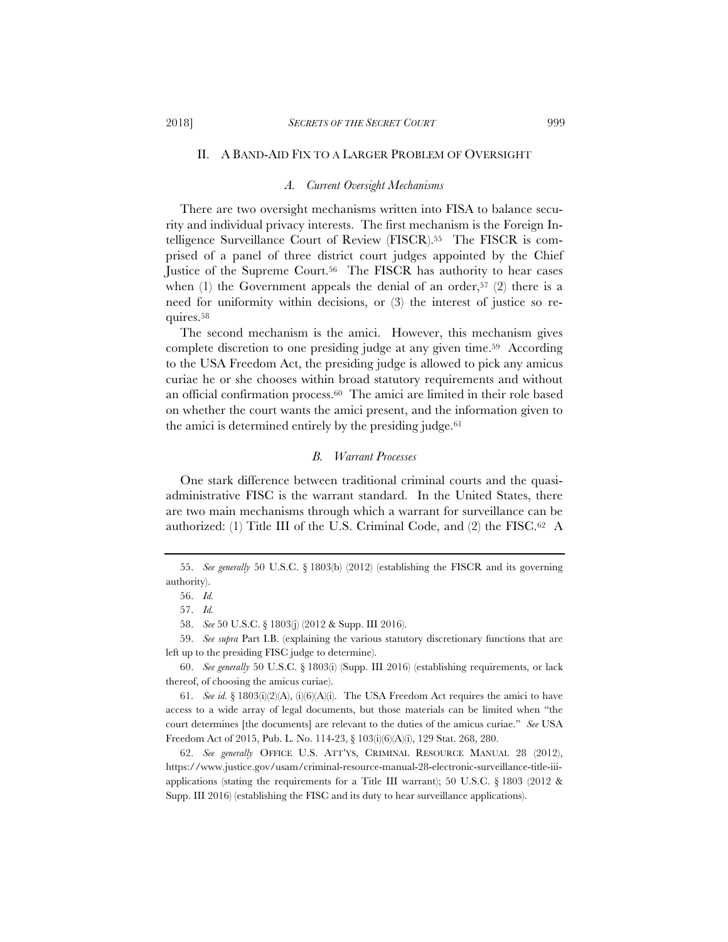#### II. A BAND-AID FIX TO A LARGER PROBLEM OF OVERSIGHT

#### *A. Current Oversight Mechanisms*

There are two oversight mechanisms written into FISA to balance security and individual privacy interests. The first mechanism is the Foreign Intelligence Surveillance Court of Review (FISCR).55 The FISCR is comprised of a panel of three district court judges appointed by the Chief Justice of the Supreme Court.56 The FISCR has authority to hear cases when  $(1)$  the Government appeals the denial of an order,<sup>57</sup>  $(2)$  there is a need for uniformity within decisions, or (3) the interest of justice so requires.58

The second mechanism is the amici. However, this mechanism gives complete discretion to one presiding judge at any given time.59 According to the USA Freedom Act, the presiding judge is allowed to pick any amicus curiae he or she chooses within broad statutory requirements and without an official confirmation process.60 The amici are limited in their role based on whether the court wants the amici present, and the information given to the amici is determined entirely by the presiding judge. $61$ 

#### *B. Warrant Processes*

One stark difference between traditional criminal courts and the quasiadministrative FISC is the warrant standard. In the United States, there are two main mechanisms through which a warrant for surveillance can be authorized: (1) Title III of the U.S. Criminal Code, and (2) the  $FISC.<sup>62</sup>$  A

<sup>55.</sup> *See generally* 50 U.S.C. § 1803(b) (2012) (establishing the FISCR and its governing authority).

<sup>56.</sup> *Id.*

<sup>57.</sup> *Id.*

<sup>58.</sup> *See* 50 U.S.C. § 1803(j) (2012 & Supp. III 2016).

<sup>59.</sup> *See supra* Part I.B. (explaining the various statutory discretionary functions that are left up to the presiding FISC judge to determine).

<sup>60.</sup> *See generally* 50 U.S.C. § 1803(i) (Supp. III 2016) (establishing requirements, or lack thereof, of choosing the amicus curiae).

<sup>61.</sup> *See id.* § 1803(i)(2)(A), (i)(6)(A)(i). The USA Freedom Act requires the amici to have access to a wide array of legal documents, but those materials can be limited when "the court determines [the documents] are relevant to the duties of the amicus curiae." *See* USA Freedom Act of 2015, Pub. L. No. 114-23, § 103(i)(6)(A)(i), 129 Stat. 268, 280.

<sup>62.</sup> *See generally* OFFICE U.S. ATT'YS, CRIMINAL RESOURCE MANUAL 28 (2012), https://www.justice.gov/usam/criminal-resource-manual-28-electronic-surveillance-title-iiiapplications (stating the requirements for a Title III warrant); 50 U.S.C.  $\S$  1803 (2012 & Supp. III 2016) (establishing the FISC and its duty to hear surveillance applications).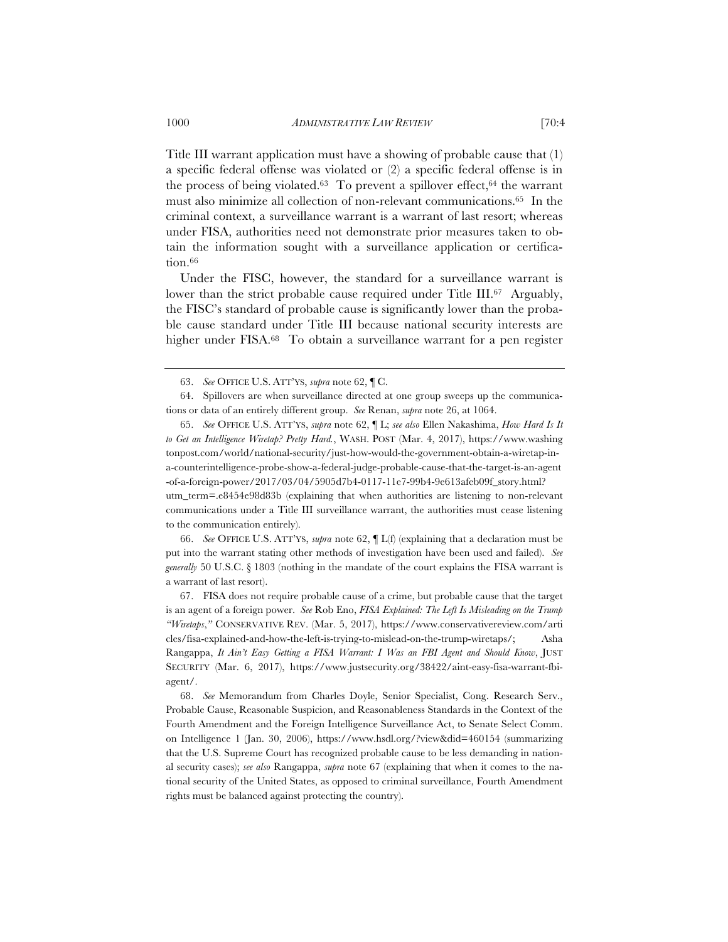Title III warrant application must have a showing of probable cause that (1) a specific federal offense was violated or (2) a specific federal offense is in the process of being violated.<sup>63</sup> To prevent a spillover effect,  $64$  the warrant must also minimize all collection of non-relevant communications.65 In the criminal context, a surveillance warrant is a warrant of last resort; whereas under FISA, authorities need not demonstrate prior measures taken to obtain the information sought with a surveillance application or certification.<sup>66</sup>

Under the FISC, however, the standard for a surveillance warrant is lower than the strict probable cause required under Title III.<sup>67</sup> Arguably, the FISC's standard of probable cause is significantly lower than the probable cause standard under Title III because national security interests are higher under FISA.68 To obtain a surveillance warrant for a pen register

66. *See* OFFICE U.S. ATT'YS, *supra* note 62, ¶ L(f) (explaining that a declaration must be put into the warrant stating other methods of investigation have been used and failed). *See generally* 50 U.S.C. § 1803 (nothing in the mandate of the court explains the FISA warrant is a warrant of last resort).

67. FISA does not require probable cause of a crime, but probable cause that the target is an agent of a foreign power. *See* Rob Eno, *FISA Explained: The Left Is Misleading on the Trump "Wiretaps*,*"* CONSERVATIVE REV. (Mar. 5, 2017), https://www.conservativereview.com/arti cles/fisa-explained-and-how-the-left-is-trying-to-mislead-on-the-trump-wiretaps/; Asha Rangappa, *It Ain't Easy Getting a FISA Warrant: I Was an FBI Agent and Should Know*, JUST SECURITY (Mar. 6, 2017), https://www.justsecurity.org/38422/aint-easy-fisa-warrant-fbiagent/.

68. *See* Memorandum from Charles Doyle, Senior Specialist, Cong. Research Serv., Probable Cause, Reasonable Suspicion, and Reasonableness Standards in the Context of the Fourth Amendment and the Foreign Intelligence Surveillance Act, to Senate Select Comm. on Intelligence 1 (Jan. 30, 2006), https://www.hsdl.org/?view&did=460154 (summarizing that the U.S. Supreme Court has recognized probable cause to be less demanding in national security cases); *see also* Rangappa, *supra* note 67 (explaining that when it comes to the national security of the United States, as opposed to criminal surveillance, Fourth Amendment rights must be balanced against protecting the country).

<sup>63.</sup> *See* OFFICE U.S. ATT'YS, *supra* note 62, ¶ C.

<sup>64.</sup> Spillovers are when surveillance directed at one group sweeps up the communications or data of an entirely different group. *See* Renan, *supra* note 26, at 1064.

<sup>65.</sup> *See* OFFICE U.S. ATT'YS, *supra* note 62, ¶ L; *see also* Ellen Nakashima, *How Hard Is It to Get an Intelligence Wiretap? Pretty Hard.*, WASH. POST (Mar. 4, 2017), https://www.washing tonpost.com/world/national-security/just-how-would-the-government-obtain-a-wiretap-ina-counterintelligence-probe-show-a-federal-judge-probable-cause-that-the-target-is-an-agent -of-a-foreign-power/2017/03/04/5905d7b4-0117-11e7-99b4-9e613afeb09f\_story.html? utm\_term=.e8454e98d83b (explaining that when authorities are listening to non-relevant communications under a Title III surveillance warrant, the authorities must cease listening to the communication entirely).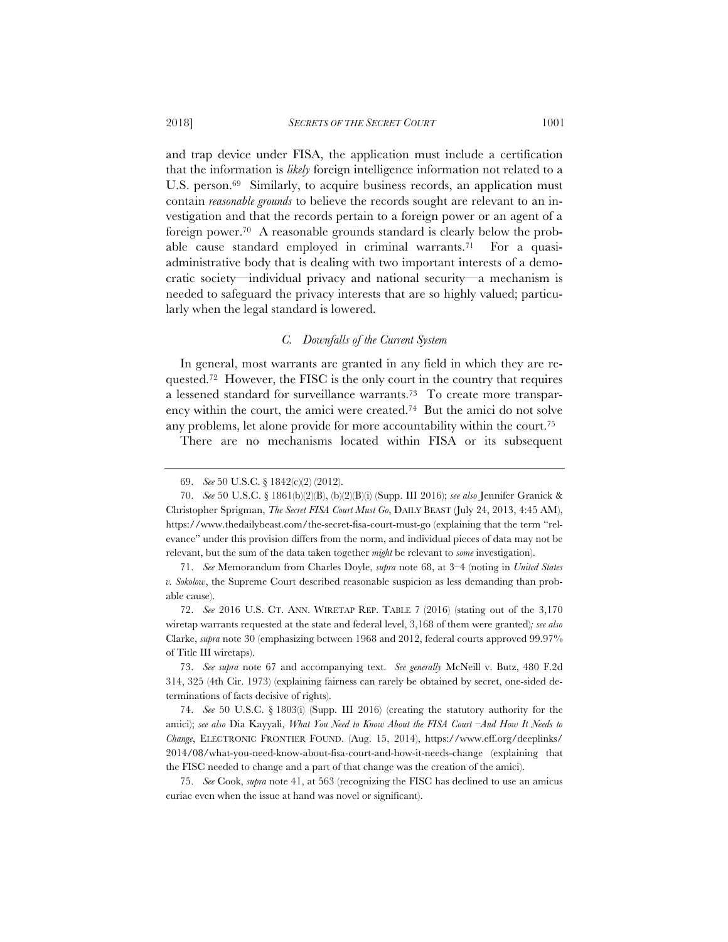and trap device under FISA, the application must include a certification that the information is *likely* foreign intelligence information not related to a U.S. person.<sup>69</sup> Similarly, to acquire business records, an application must contain *reasonable grounds* to believe the records sought are relevant to an investigation and that the records pertain to a foreign power or an agent of a foreign power.70 A reasonable grounds standard is clearly below the probable cause standard employed in criminal warrants.71 For a quasiadministrative body that is dealing with two important interests of a democratic society—individual privacy and national security—a mechanism is needed to safeguard the privacy interests that are so highly valued; particularly when the legal standard is lowered.

# *C. Downfalls of the Current System*

In general, most warrants are granted in any field in which they are requested.72 However, the FISC is the only court in the country that requires a lessened standard for surveillance warrants.73 To create more transparency within the court, the amici were created.74 But the amici do not solve any problems, let alone provide for more accountability within the court.75

There are no mechanisms located within FISA or its subsequent

<sup>69.</sup> *See* 50 U.S.C. § 1842(c)(2) (2012).

<sup>70.</sup> *See* 50 U.S.C. § 1861(b)(2)(B), (b)(2)(B)(i) (Supp. III 2016); *see also* Jennifer Granick & Christopher Sprigman, *The Secret FISA Court Must Go*, DAILY BEAST (July 24, 2013, 4:45 AM), https://www.thedailybeast.com/the-secret-fisa-court-must-go (explaining that the term "relevance" under this provision differs from the norm, and individual pieces of data may not be relevant, but the sum of the data taken together *might* be relevant to *some* investigation).

<sup>71.</sup> *See* Memorandum from Charles Doyle, *supra* note 68, at 3–4 (noting in *United States v. Sokolow*, the Supreme Court described reasonable suspicion as less demanding than probable cause).

<sup>72.</sup> *See* 2016 U.S. CT. ANN. WIRETAP REP. TABLE 7 (2016) (stating out of the 3,170 wiretap warrants requested at the state and federal level, 3,168 of them were granted)*; see also* Clarke, *supra* note 30 (emphasizing between 1968 and 2012, federal courts approved 99.97% of Title III wiretaps).

<sup>73.</sup> *See supra* note 67 and accompanying text. *See generally* McNeill v. Butz, 480 F.2d 314, 325 (4th Cir. 1973) (explaining fairness can rarely be obtained by secret, one-sided determinations of facts decisive of rights).

<sup>74.</sup> *See* 50 U.S.C. § 1803(i) (Supp. III 2016) (creating the statutory authority for the amici); *see also* Dia Kayyali, *What You Need to Know About the FISA Court –And How It Needs to Change*, ELECTRONIC FRONTIER FOUND. (Aug. 15, 2014), https://www.eff.org/deeplinks/ 2014/08/what-you-need-know-about-fisa-court-and-how-it-needs-change (explaining that the FISC needed to change and a part of that change was the creation of the amici).

<sup>75.</sup> *See* Cook, *supra* note 41, at 563 (recognizing the FISC has declined to use an amicus curiae even when the issue at hand was novel or significant).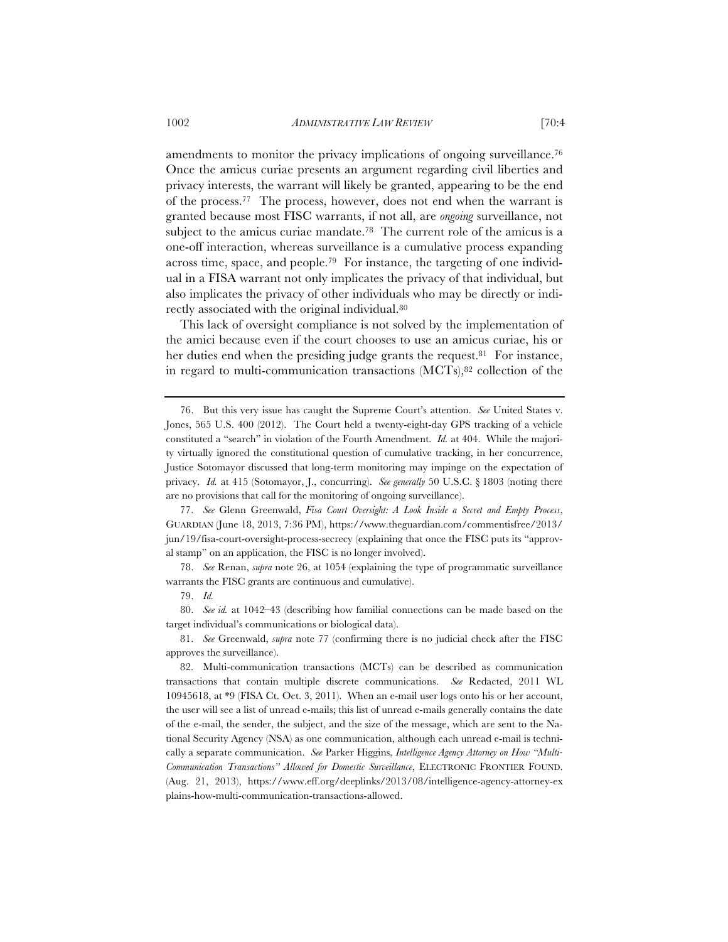amendments to monitor the privacy implications of ongoing surveillance.<sup>76</sup> Once the amicus curiae presents an argument regarding civil liberties and privacy interests, the warrant will likely be granted, appearing to be the end of the process.77 The process, however, does not end when the warrant is granted because most FISC warrants, if not all, are *ongoing* surveillance, not subject to the amicus curiae mandate.<sup>78</sup> The current role of the amicus is a one-off interaction, whereas surveillance is a cumulative process expanding across time, space, and people.79 For instance, the targeting of one individual in a FISA warrant not only implicates the privacy of that individual, but also implicates the privacy of other individuals who may be directly or indirectly associated with the original individual.80

This lack of oversight compliance is not solved by the implementation of the amici because even if the court chooses to use an amicus curiae, his or her duties end when the presiding judge grants the request.<sup>81</sup> For instance, in regard to multi-communication transactions (MCTs),82 collection of the

77. *See* Glenn Greenwald, *Fisa Court Oversight: A Look Inside a Secret and Empty Process*, GUARDIAN (June 18, 2013, 7:36 PM), https://www.theguardian.com/commentisfree/2013/ jun/19/fisa-court-oversight-process-secrecy (explaining that once the FISC puts its "approval stamp" on an application, the FISC is no longer involved).

78. *See* Renan, *supra* note 26, at 1054 (explaining the type of programmatic surveillance warrants the FISC grants are continuous and cumulative).

80. *See id.* at 1042–43 (describing how familial connections can be made based on the target individual's communications or biological data).

81. *See* Greenwald, *supra* note 77 (confirming there is no judicial check after the FISC approves the surveillance).

<sup>76.</sup> But this very issue has caught the Supreme Court's attention. *See* United States v. Jones, 565 U.S. 400 (2012). The Court held a twenty-eight-day GPS tracking of a vehicle constituted a "search" in violation of the Fourth Amendment. *Id.* at 404. While the majority virtually ignored the constitutional question of cumulative tracking, in her concurrence, Justice Sotomayor discussed that long-term monitoring may impinge on the expectation of privacy. *Id.* at 415 (Sotomayor, J., concurring). *See generally* 50 U.S.C. § 1803 (noting there are no provisions that call for the monitoring of ongoing surveillance).

<sup>79.</sup> *Id.*

<sup>82.</sup> Multi-communication transactions (MCTs) can be described as communication transactions that contain multiple discrete communications. *See* Redacted, 2011 WL 10945618, at \*9 (FISA Ct. Oct. 3, 2011). When an e-mail user logs onto his or her account, the user will see a list of unread e-mails; this list of unread e-mails generally contains the date of the e-mail, the sender, the subject, and the size of the message, which are sent to the National Security Agency (NSA) as one communication, although each unread e-mail is technically a separate communication. *See* Parker Higgins, *Intelligence Agency Attorney on How "Multi-Communication Transactions" Allowed for Domestic Surveillance*, ELECTRONIC FRONTIER FOUND. (Aug. 21, 2013), https://www.eff.org/deeplinks/2013/08/intelligence-agency-attorney-ex plains-how-multi-communication-transactions-allowed.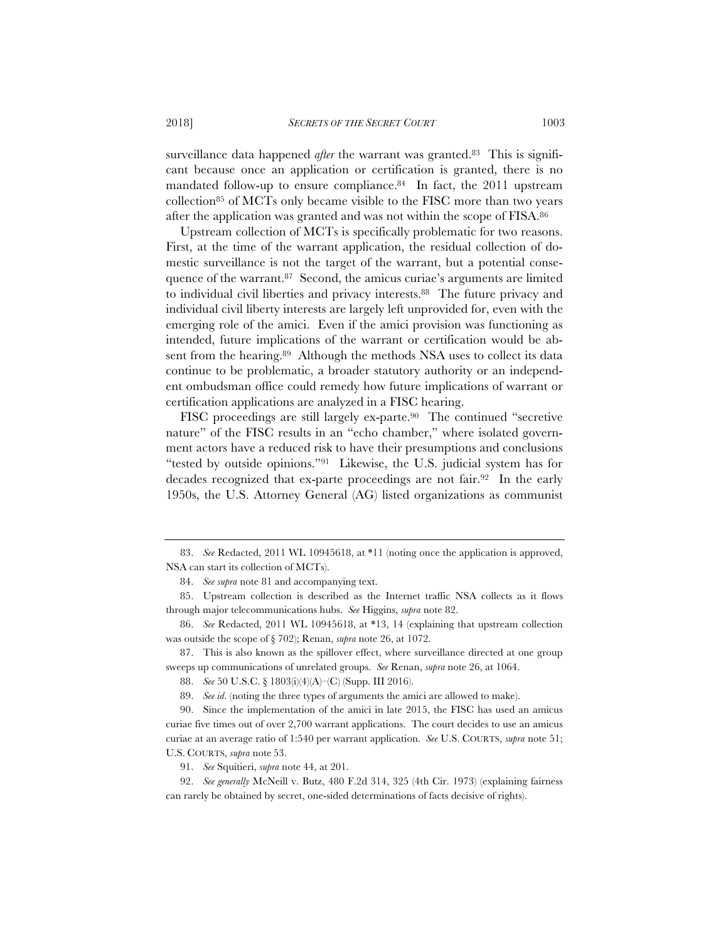surveillance data happened *after* the warrant was granted.<sup>83</sup> This is significant because once an application or certification is granted, there is no mandated follow-up to ensure compliance.<sup>84</sup> In fact, the 2011 upstream collection85 of MCTs only became visible to the FISC more than two years after the application was granted and was not within the scope of FISA.86

Upstream collection of MCTs is specifically problematic for two reasons. First, at the time of the warrant application, the residual collection of domestic surveillance is not the target of the warrant, but a potential consequence of the warrant.<sup>87</sup> Second, the amicus curiae's arguments are limited to individual civil liberties and privacy interests.88 The future privacy and individual civil liberty interests are largely left unprovided for, even with the emerging role of the amici. Even if the amici provision was functioning as intended, future implications of the warrant or certification would be absent from the hearing.<sup>89</sup> Although the methods NSA uses to collect its data continue to be problematic, a broader statutory authority or an independent ombudsman office could remedy how future implications of warrant or certification applications are analyzed in a FISC hearing.

FISC proceedings are still largely ex-parte.90 The continued "secretive nature" of the FISC results in an "echo chamber," where isolated government actors have a reduced risk to have their presumptions and conclusions "tested by outside opinions."91 Likewise, the U.S. judicial system has for decades recognized that ex-parte proceedings are not fair.92 In the early 1950s, the U.S. Attorney General (AG) listed organizations as communist

87. This is also known as the spillover effect, where surveillance directed at one group sweeps up communications of unrelated groups. *See* Renan, *supra* note 26, at 1064.

<sup>83.</sup> *See* Redacted, 2011 WL 10945618, at \*11 (noting once the application is approved, NSA can start its collection of MCTs).

<sup>84.</sup> *See supra* note 81 and accompanying text.

<sup>85.</sup> Upstream collection is described as the Internet traffic NSA collects as it flows through major telecommunications hubs. *See* Higgins, *supra* note 82.

<sup>86.</sup> *See* Redacted, 2011 WL 10945618, at \*13, 14 (explaining that upstream collection was outside the scope of § 702); Renan, *supra* note 26, at 1072.

<sup>88.</sup> *See* 50 U.S.C. § 1803(i)(4)(A)–(C) (Supp. III 2016).

<sup>89.</sup> *See id*. (noting the three types of arguments the amici are allowed to make).

<sup>90.</sup> Since the implementation of the amici in late 2015, the FISC has used an amicus curiae five times out of over 2,700 warrant applications. The court decides to use an amicus curiae at an average ratio of 1:540 per warrant application. *See* U.S. COURTS, *supra* note 51; U.S. COURTS, *supra* note 53.

<sup>91.</sup> *See* Squitieri, *supra* note 44, at 201.

<sup>92.</sup> *See generally* McNeill v. Butz, 480 F.2d 314, 325 (4th Cir. 1973) (explaining fairness can rarely be obtained by secret, one-sided determinations of facts decisive of rights).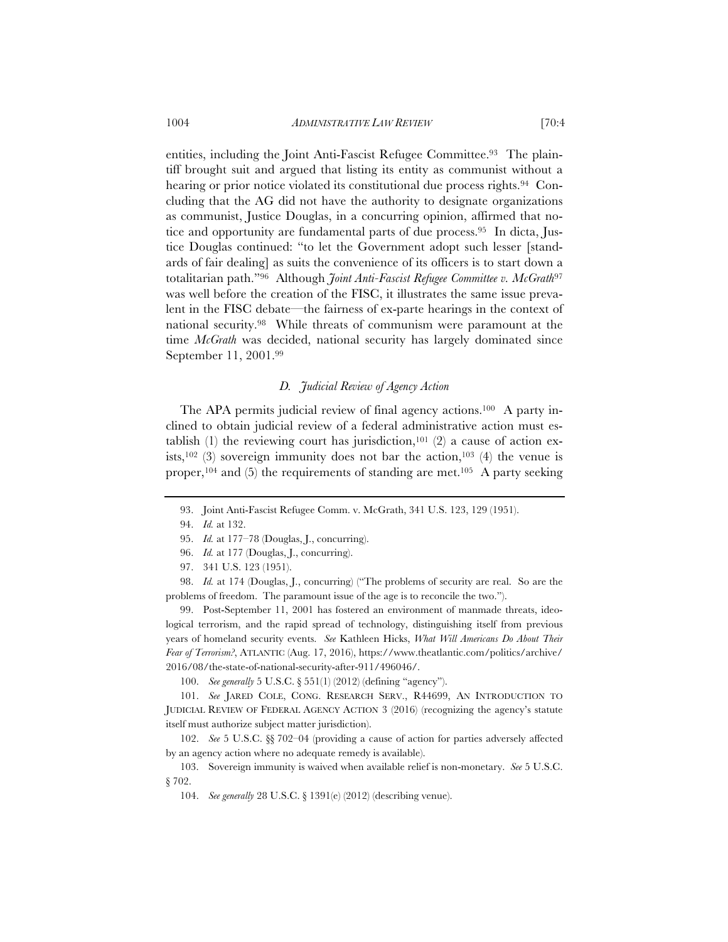entities, including the Joint Anti-Fascist Refugee Committee.<sup>93</sup> The plaintiff brought suit and argued that listing its entity as communist without a hearing or prior notice violated its constitutional due process rights.<sup>94</sup> Concluding that the AG did not have the authority to designate organizations as communist, Justice Douglas, in a concurring opinion, affirmed that notice and opportunity are fundamental parts of due process.95 In dicta, Justice Douglas continued: "to let the Government adopt such lesser [standards of fair dealing] as suits the convenience of its officers is to start down a totalitarian path."96 Although *Joint Anti-Fascist Refugee Committee v. McGrath*<sup>97</sup> was well before the creation of the FISC, it illustrates the same issue prevalent in the FISC debate—the fairness of ex-parte hearings in the context of national security.98 While threats of communism were paramount at the time *McGrath* was decided, national security has largely dominated since September 11, 2001.99

# *D. Judicial Review of Agency Action*

The APA permits judicial review of final agency actions.<sup>100</sup> A party inclined to obtain judicial review of a federal administrative action must establish (1) the reviewing court has jurisdiction,<sup>101</sup> (2) a cause of action exists,<sup>102</sup> (3) sovereign immunity does not bar the action,<sup>103</sup> (4) the venue is proper,<sup>104</sup> and (5) the requirements of standing are met.<sup>105</sup> A party seeking

99. Post-September 11, 2001 has fostered an environment of manmade threats, ideological terrorism, and the rapid spread of technology, distinguishing itself from previous years of homeland security events. *See* Kathleen Hicks, *What Will Americans Do About Their Fear of Terrorism?*, ATLANTIC (Aug. 17, 2016), https://www.theatlantic.com/politics/archive/ 2016/08/the-state-of-national-security-after-911/496046/.

100. *See generally* 5 U.S.C. § 551(1) (2012) (defining "agency").

101. *See* JARED COLE, CONG. RESEARCH SERV., R44699, AN INTRODUCTION TO JUDICIAL REVIEW OF FEDERAL AGENCY ACTION 3 (2016) (recognizing the agency's statute itself must authorize subject matter jurisdiction).

102. *See* 5 U.S.C. §§ 702–04 (providing a cause of action for parties adversely affected by an agency action where no adequate remedy is available).

103. Sovereign immunity is waived when available relief is non-monetary. *See* 5 U.S.C. § 702.

104. *See generally* 28 U.S.C. § 1391(e) (2012) (describing venue).

<sup>93.</sup> Joint Anti-Fascist Refugee Comm. v. McGrath, 341 U.S. 123, 129 (1951).

<sup>94.</sup> *Id.* at 132.

<sup>95.</sup> *Id.* at 177–78 (Douglas, J., concurring).

<sup>96.</sup> *Id.* at 177 (Douglas, J., concurring).

<sup>97. 341</sup> U.S. 123 (1951).

<sup>98.</sup> *Id.* at 174 (Douglas, J., concurring) ("The problems of security are real. So are the problems of freedom. The paramount issue of the age is to reconcile the two.").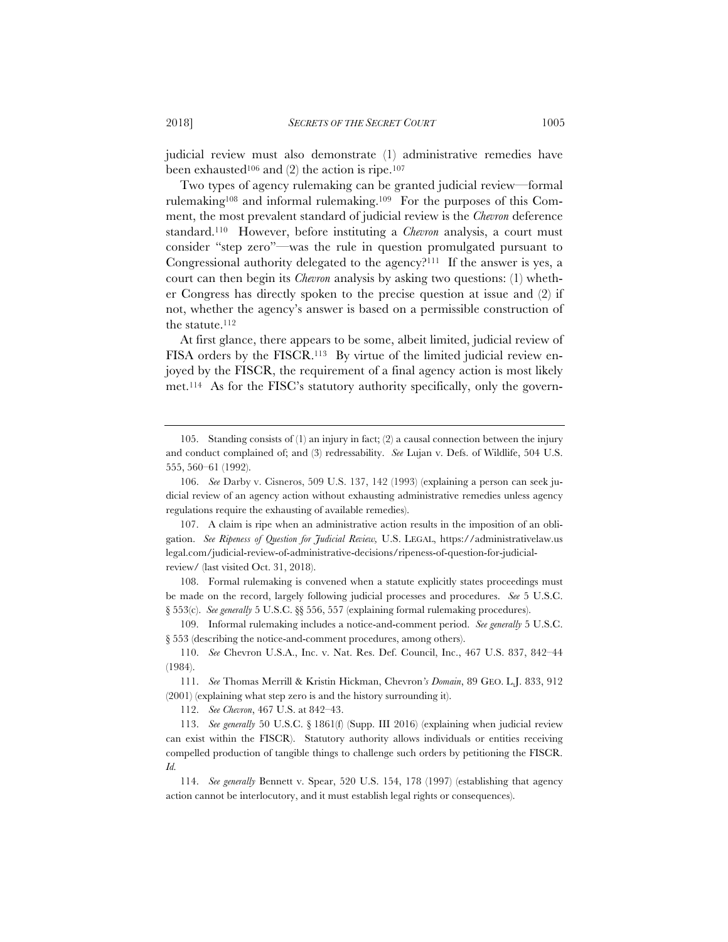judicial review must also demonstrate (1) administrative remedies have been exhausted<sup>106</sup> and  $(2)$  the action is ripe.<sup>107</sup>

Two types of agency rulemaking can be granted judicial review—formal rulemaking108 and informal rulemaking.109 For the purposes of this Comment, the most prevalent standard of judicial review is the *Chevron* deference standard.110 However, before instituting a *Chevron* analysis, a court must consider "step zero"—was the rule in question promulgated pursuant to Congressional authority delegated to the agency?111 If the answer is yes, a court can then begin its *Chevron* analysis by asking two questions: (1) whether Congress has directly spoken to the precise question at issue and (2) if not, whether the agency's answer is based on a permissible construction of the statute.112

At first glance, there appears to be some, albeit limited, judicial review of FISA orders by the FISCR.113 By virtue of the limited judicial review enjoyed by the FISCR, the requirement of a final agency action is most likely met.114 As for the FISC's statutory authority specifically, only the govern-

108. Formal rulemaking is convened when a statute explicitly states proceedings must be made on the record, largely following judicial processes and procedures. *See* 5 U.S.C. § 553(c). *See generally* 5 U.S.C. §§ 556, 557 (explaining formal rulemaking procedures).

109. Informal rulemaking includes a notice-and-comment period. *See generally* 5 U.S.C. § 553 (describing the notice-and-comment procedures, among others).

112. *See Chevron*, 467 U.S. at 842–43.

<sup>105.</sup> Standing consists of (1) an injury in fact; (2) a causal connection between the injury and conduct complained of; and (3) redressability. *See* Lujan v. Defs. of Wildlife, 504 U.S. 555, 560–61 (1992).

<sup>106.</sup> *See* Darby v. Cisneros, 509 U.S. 137, 142 (1993) (explaining a person can seek judicial review of an agency action without exhausting administrative remedies unless agency regulations require the exhausting of available remedies).

<sup>107.</sup> A claim is ripe when an administrative action results in the imposition of an obligation. *See Ripeness of Question for Judicial Review,* U.S. LEGAL, https://administrativelaw.us legal.com/judicial-review-of-administrative-decisions/ripeness-of-question-for-judicialreview/ (last visited Oct. 31, 2018).

<sup>110.</sup> *See* Chevron U.S.A., Inc. v. Nat. Res. Def. Council, Inc., 467 U.S. 837, 842–44 (1984).

<sup>111.</sup> *See* Thomas Merrill & Kristin Hickman, Chevron*'s Domain*, 89 GEO. L.J. 833, 912 (2001) (explaining what step zero is and the history surrounding it).

<sup>113.</sup> *See generally* 50 U.S.C. § 1861(f) (Supp. III 2016) (explaining when judicial review can exist within the FISCR). Statutory authority allows individuals or entities receiving compelled production of tangible things to challenge such orders by petitioning the FISCR. *Id.*

<sup>114.</sup> *See generally* Bennett v. Spear, 520 U.S. 154, 178 (1997) (establishing that agency action cannot be interlocutory, and it must establish legal rights or consequences).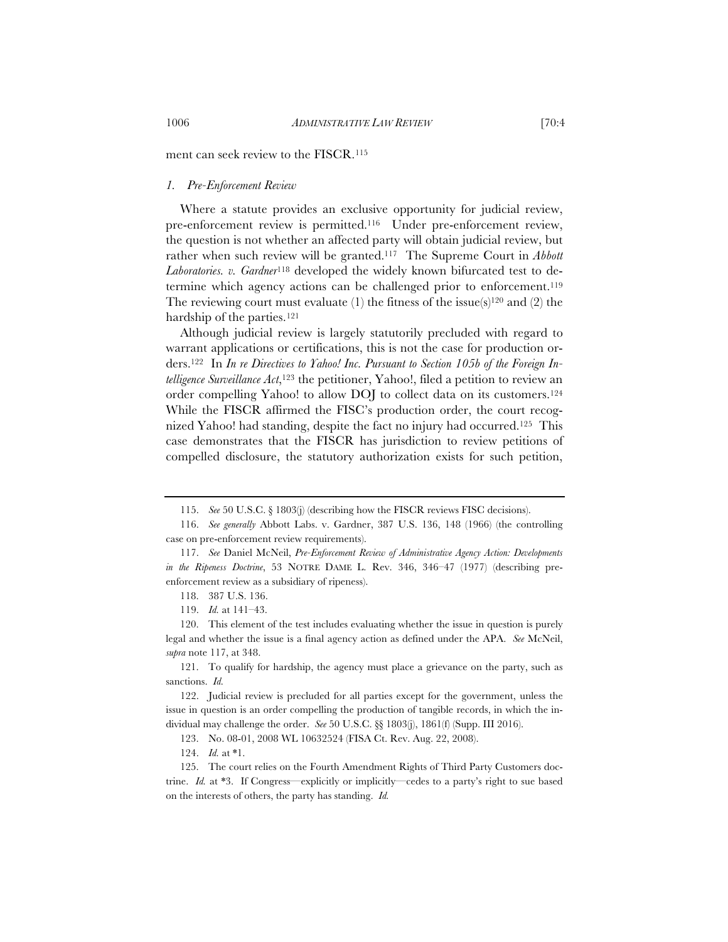ment can seek review to the FISCR.115

### *1. Pre-Enforcement Review*

Where a statute provides an exclusive opportunity for judicial review, pre-enforcement review is permitted.116 Under pre-enforcement review, the question is not whether an affected party will obtain judicial review, but rather when such review will be granted.117 The Supreme Court in *Abbott Laboratories. v. Gardner*118 developed the widely known bifurcated test to determine which agency actions can be challenged prior to enforcement.119 The reviewing court must evaluate (1) the fitness of the issue(s)<sup>120</sup> and (2) the hardship of the parties.<sup>121</sup>

Although judicial review is largely statutorily precluded with regard to warrant applications or certifications, this is not the case for production orders.122 In *In re Directives to Yahoo! Inc. Pursuant to Section 105b of the Foreign Intelligence Surveillance Act*,<sup>123</sup> the petitioner, Yahoo!, filed a petition to review an order compelling Yahoo! to allow DOJ to collect data on its customers.124 While the FISCR affirmed the FISC's production order, the court recognized Yahoo! had standing, despite the fact no injury had occurred.125 This case demonstrates that the FISCR has jurisdiction to review petitions of compelled disclosure, the statutory authorization exists for such petition,

121. To qualify for hardship, the agency must place a grievance on the party, such as sanctions. *Id.*

122. Judicial review is precluded for all parties except for the government, unless the issue in question is an order compelling the production of tangible records, in which the individual may challenge the order. *See* 50 U.S.C. §§ 1803(j), 1861(f) (Supp. III 2016).

123. No. 08-01, 2008 WL 10632524 (FISA Ct. Rev. Aug. 22, 2008).

124. *Id.* at \*1.

125. The court relies on the Fourth Amendment Rights of Third Party Customers doctrine. *Id.* at \*3. If Congress—explicitly or implicitly—cedes to a party's right to sue based on the interests of others, the party has standing. *Id.*

<sup>115.</sup> *See* 50 U.S.C. § 1803(j) (describing how the FISCR reviews FISC decisions).

<sup>116.</sup> *See generally* Abbott Labs. v. Gardner, 387 U.S. 136, 148 (1966) (the controlling case on pre-enforcement review requirements).

<sup>117.</sup> *See* Daniel McNeil, *Pre-Enforcement Review of Administrative Agency Action: Developments in the Ripeness Doctrine*, 53 NOTRE DAME L. Rev. 346, 346–47 (1977) (describing preenforcement review as a subsidiary of ripeness).

<sup>118. 387</sup> U.S. 136.

<sup>119.</sup> *Id.* at 141–43.

<sup>120.</sup> This element of the test includes evaluating whether the issue in question is purely legal and whether the issue is a final agency action as defined under the APA. *See* McNeil, *supra* note 117, at 348.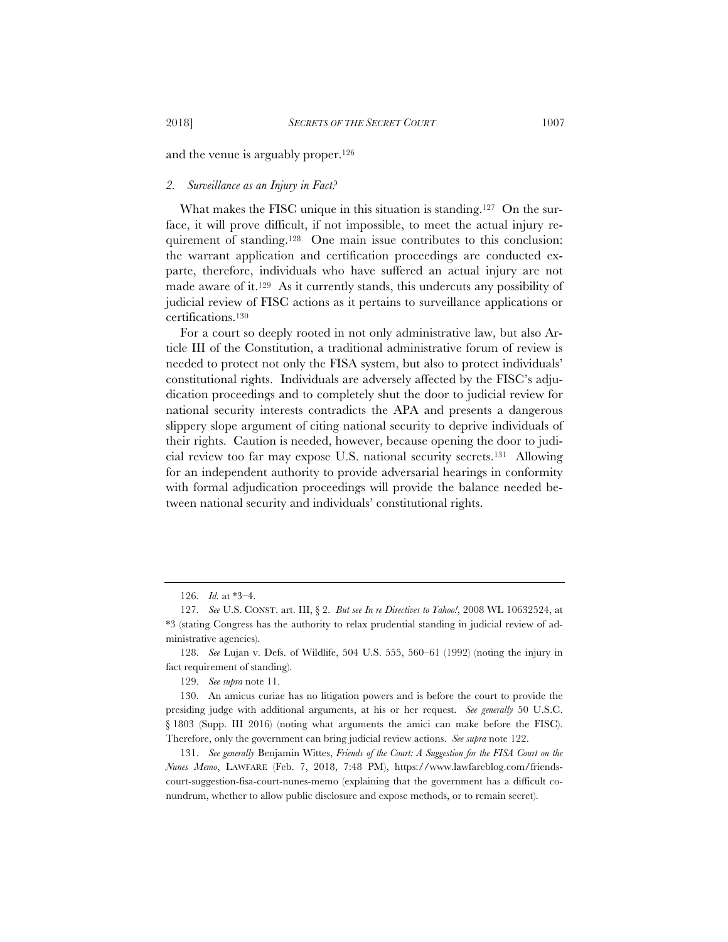and the venue is arguably proper.126

# *2. Surveillance as an Injury in Fact?*

What makes the FISC unique in this situation is standing.<sup>127</sup> On the surface, it will prove difficult, if not impossible, to meet the actual injury requirement of standing.128 One main issue contributes to this conclusion: the warrant application and certification proceedings are conducted exparte, therefore, individuals who have suffered an actual injury are not made aware of it.129 As it currently stands, this undercuts any possibility of judicial review of FISC actions as it pertains to surveillance applications or certifications.130

For a court so deeply rooted in not only administrative law, but also Article III of the Constitution, a traditional administrative forum of review is needed to protect not only the FISA system, but also to protect individuals' constitutional rights. Individuals are adversely affected by the FISC's adjudication proceedings and to completely shut the door to judicial review for national security interests contradicts the APA and presents a dangerous slippery slope argument of citing national security to deprive individuals of their rights. Caution is needed, however, because opening the door to judicial review too far may expose U.S. national security secrets.131 Allowing for an independent authority to provide adversarial hearings in conformity with formal adjudication proceedings will provide the balance needed between national security and individuals' constitutional rights.

129. *See supra* note 11.

<sup>126.</sup> *Id.* at \*3–4.

<sup>127.</sup> *See* U.S. CONST. art. III, § 2. *But see In re Directives to Yahoo!*, 2008 WL 10632524, at \*3 (stating Congress has the authority to relax prudential standing in judicial review of administrative agencies).

<sup>128.</sup> *See* Lujan v. Defs. of Wildlife, 504 U.S. 555, 560–61 (1992) (noting the injury in fact requirement of standing).

<sup>130.</sup> An amicus curiae has no litigation powers and is before the court to provide the presiding judge with additional arguments, at his or her request. *See generally* 50 U.S.C. § 1803 (Supp. III 2016) (noting what arguments the amici can make before the FISC). Therefore, only the government can bring judicial review actions. *See supra* note 122.

<sup>131.</sup> *See generally* Benjamin Wittes, *Friends of the Court: A Suggestion for the FISA Court on the Nunes Memo*, LAWFARE (Feb. 7, 2018, 7:48 PM), https://www.lawfareblog.com/friendscourt-suggestion-fisa-court-nunes-memo (explaining that the government has a difficult conundrum, whether to allow public disclosure and expose methods, or to remain secret).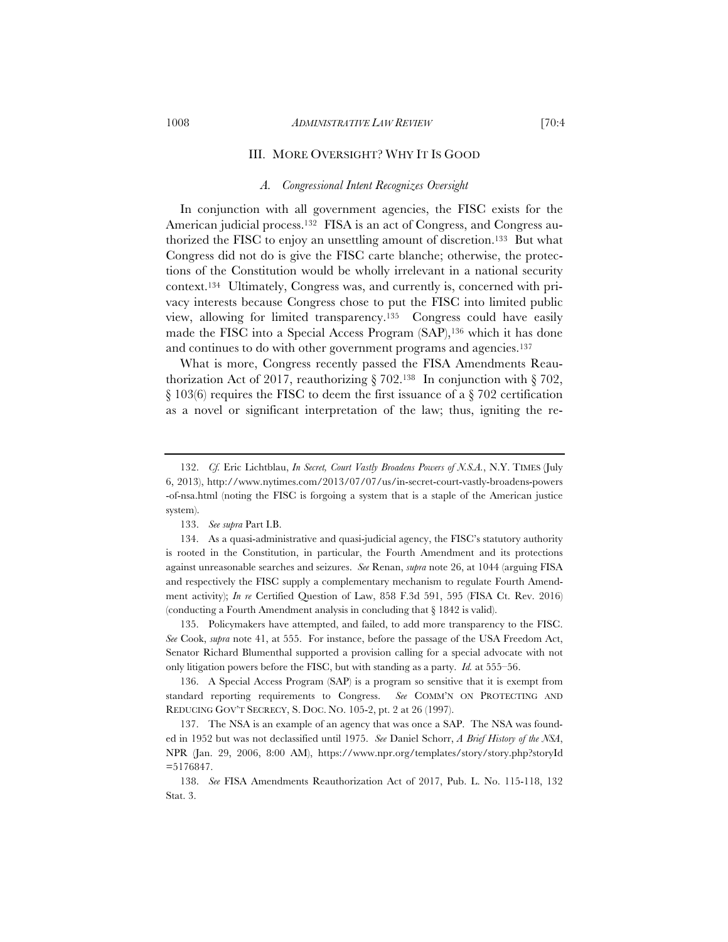#### III. MORE OVERSIGHT? WHY IT IS GOOD

#### *A. Congressional Intent Recognizes Oversight*

In conjunction with all government agencies, the FISC exists for the American judicial process.<sup>132</sup> FISA is an act of Congress, and Congress authorized the FISC to enjoy an unsettling amount of discretion.133 But what Congress did not do is give the FISC carte blanche; otherwise, the protections of the Constitution would be wholly irrelevant in a national security context.134 Ultimately, Congress was, and currently is, concerned with privacy interests because Congress chose to put the FISC into limited public view, allowing for limited transparency.135 Congress could have easily made the FISC into a Special Access Program (SAP),136 which it has done and continues to do with other government programs and agencies.<sup>137</sup>

What is more, Congress recently passed the FISA Amendments Reauthorization Act of 2017, reauthorizing  $\S 702$ .<sup>138</sup> In conjunction with  $\S 702$ , § 103(6) requires the FISC to deem the first issuance of a § 702 certification as a novel or significant interpretation of the law; thus, igniting the re-

135. Policymakers have attempted, and failed, to add more transparency to the FISC. *See* Cook, *supra* note 41, at 555. For instance, before the passage of the USA Freedom Act, Senator Richard Blumenthal supported a provision calling for a special advocate with not only litigation powers before the FISC, but with standing as a party. *Id.* at 555–56.

136. A Special Access Program (SAP) is a program so sensitive that it is exempt from standard reporting requirements to Congress. *See* COMM'N ON PROTECTING AND REDUCING GOV'T SECRECY, S. DOC. NO. 105-2, pt. 2 at 26 (1997).

137. The NSA is an example of an agency that was once a SAP. The NSA was founded in 1952 but was not declassified until 1975. *See* Daniel Schorr, *A Brief History of the NSA*, NPR (Jan. 29, 2006, 8:00 AM), https://www.npr.org/templates/story/story.php?storyId =5176847.

138. *See* FISA Amendments Reauthorization Act of 2017, Pub. L. No. 115-118, 132 Stat. 3.

<sup>132.</sup> *Cf.* Eric Lichtblau, *In Secret, Court Vastly Broadens Powers of N.S.A.*, N.Y. TIMES (July 6, 2013), http://www.nytimes.com/2013/07/07/us/in-secret-court-vastly-broadens-powers -of-nsa.html (noting the FISC is forgoing a system that is a staple of the American justice system).

<sup>133.</sup> *See supra* Part I.B.

<sup>134.</sup> As a quasi-administrative and quasi-judicial agency, the FISC's statutory authority is rooted in the Constitution, in particular, the Fourth Amendment and its protections against unreasonable searches and seizures. *See* Renan, *supra* note 26, at 1044 (arguing FISA and respectively the FISC supply a complementary mechanism to regulate Fourth Amendment activity); *In re* Certified Question of Law, 858 F.3d 591, 595 (FISA Ct. Rev. 2016) (conducting a Fourth Amendment analysis in concluding that § 1842 is valid).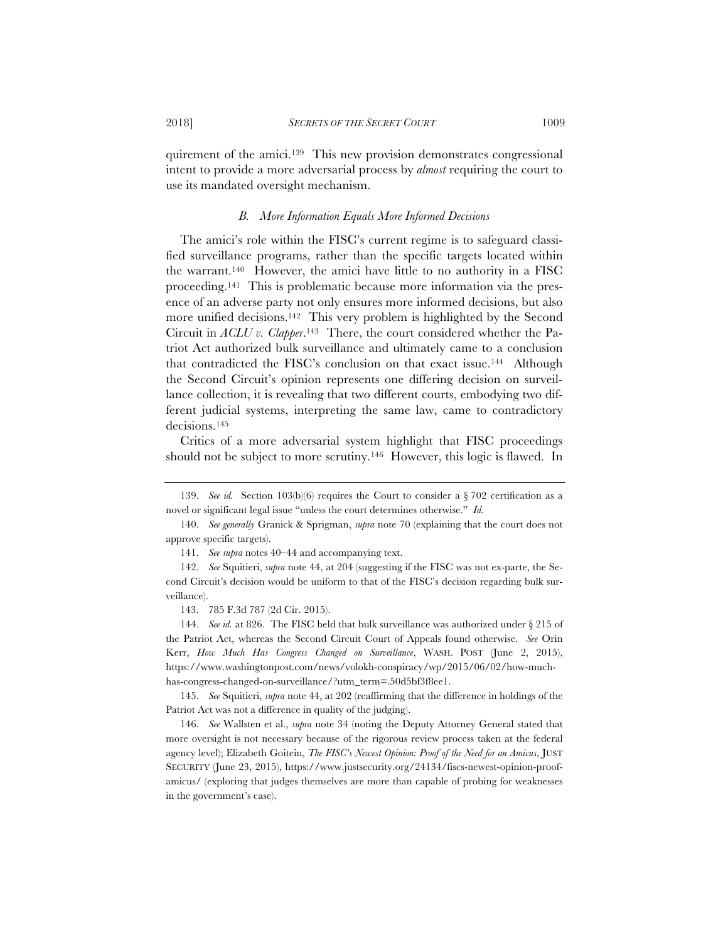quirement of the amici.139 This new provision demonstrates congressional intent to provide a more adversarial process by *almost* requiring the court to use its mandated oversight mechanism.

# *B. More Information Equals More Informed Decisions*

The amici's role within the FISC's current regime is to safeguard classified surveillance programs, rather than the specific targets located within the warrant.140 However, the amici have little to no authority in a FISC proceeding.141 This is problematic because more information via the presence of an adverse party not only ensures more informed decisions, but also more unified decisions.<sup>142</sup> This very problem is highlighted by the Second Circuit in *ACLU v. Clapper*.143 There, the court considered whether the Patriot Act authorized bulk surveillance and ultimately came to a conclusion that contradicted the FISC's conclusion on that exact issue.144 Although the Second Circuit's opinion represents one differing decision on surveillance collection, it is revealing that two different courts, embodying two different judicial systems, interpreting the same law, came to contradictory decisions.145

Critics of a more adversarial system highlight that FISC proceedings should not be subject to more scrutiny.<sup>146</sup> However, this logic is flawed. In

141. *See supra* notes 40–44 and accompanying text.

<sup>139.</sup> *See id.* Section 103(b)(6) requires the Court to consider a § 702 certification as a novel or significant legal issue "unless the court determines otherwise." *Id.*

<sup>140.</sup> *See generally* Granick & Sprigman, *supra* note 70 (explaining that the court does not approve specific targets).

<sup>142.</sup> *See* Squitieri, *supra* note 44, at 204 (suggesting if the FISC was not ex-parte, the Second Circuit's decision would be uniform to that of the FISC's decision regarding bulk surveillance).

<sup>143. 785</sup> F.3d 787 (2d Cir. 2015).

<sup>144.</sup> *See id.* at 826. The FISC held that bulk surveillance was authorized under § 215 of the Patriot Act, whereas the Second Circuit Court of Appeals found otherwise. *See* Orin Kerr, *How Much Has Congress Changed on Surveillance*, WASH. POST (June 2, 2015), https://www.washingtonpost.com/news/volokh-conspiracy/wp/2015/06/02/how-muchhas-congress-changed-on-surveillance/?utm\_term=.50d5bf3f8ee1.

<sup>145.</sup> *See* Squitieri, *supra* note 44, at 202 (reaffirming that the difference in holdings of the Patriot Act was not a difference in quality of the judging).

<sup>146.</sup> *See* Wallsten et al., *supra* note 34 (noting the Deputy Attorney General stated that more oversight is not necessary because of the rigorous review process taken at the federal agency level); Elizabeth Goitein, *The FISC's Newest Opinion: Proof of the Need for an Amicus*, JUST SECURITY (June 23, 2015), https://www.justsecurity.org/24134/fiscs-newest-opinion-proofamicus/ (exploring that judges themselves are more than capable of probing for weaknesses in the government's case).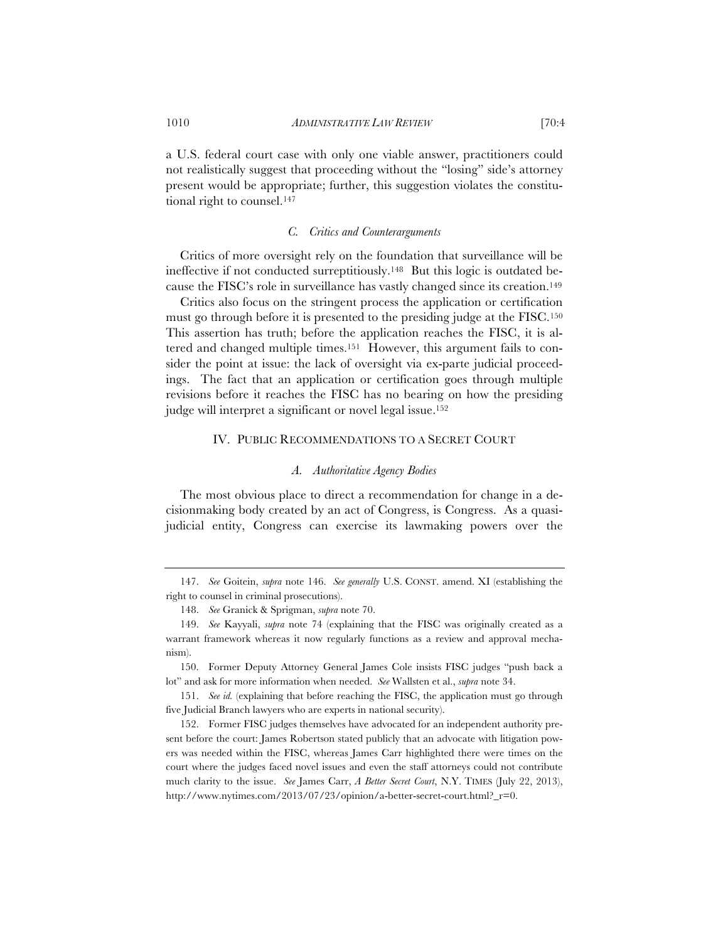a U.S. federal court case with only one viable answer, practitioners could not realistically suggest that proceeding without the "losing" side's attorney present would be appropriate; further, this suggestion violates the constitutional right to counsel.147

#### *C. Critics and Counterarguments*

Critics of more oversight rely on the foundation that surveillance will be ineffective if not conducted surreptitiously.148 But this logic is outdated because the FISC's role in surveillance has vastly changed since its creation.149

Critics also focus on the stringent process the application or certification must go through before it is presented to the presiding judge at the FISC.150 This assertion has truth; before the application reaches the FISC, it is altered and changed multiple times.151 However, this argument fails to consider the point at issue: the lack of oversight via ex-parte judicial proceedings. The fact that an application or certification goes through multiple revisions before it reaches the FISC has no bearing on how the presiding judge will interpret a significant or novel legal issue.152

### IV. PUBLIC RECOMMENDATIONS TO A SECRET COURT

#### *A. Authoritative Agency Bodies*

The most obvious place to direct a recommendation for change in a decisionmaking body created by an act of Congress, is Congress. As a quasijudicial entity, Congress can exercise its lawmaking powers over the

150. Former Deputy Attorney General James Cole insists FISC judges "push back a lot" and ask for more information when needed. *See* Wallsten et al., *supra* note 34.

151. *See id.* (explaining that before reaching the FISC, the application must go through five Judicial Branch lawyers who are experts in national security).

152. Former FISC judges themselves have advocated for an independent authority present before the court: James Robertson stated publicly that an advocate with litigation powers was needed within the FISC, whereas James Carr highlighted there were times on the court where the judges faced novel issues and even the staff attorneys could not contribute much clarity to the issue. *See* James Carr, *A Better Secret Court*, N.Y. TIMES (July 22, 2013), http://www.nytimes.com/2013/07/23/opinion/a-better-secret-court.html?\_r=0.

<sup>147.</sup> *See* Goitein, *supra* note 146. *See generally* U.S. CONST. amend. XI (establishing the right to counsel in criminal prosecutions).

<sup>148.</sup> *See* Granick & Sprigman, *supra* note 70.

<sup>149.</sup> *See* Kayyali, *supra* note 74 (explaining that the FISC was originally created as a warrant framework whereas it now regularly functions as a review and approval mechanism).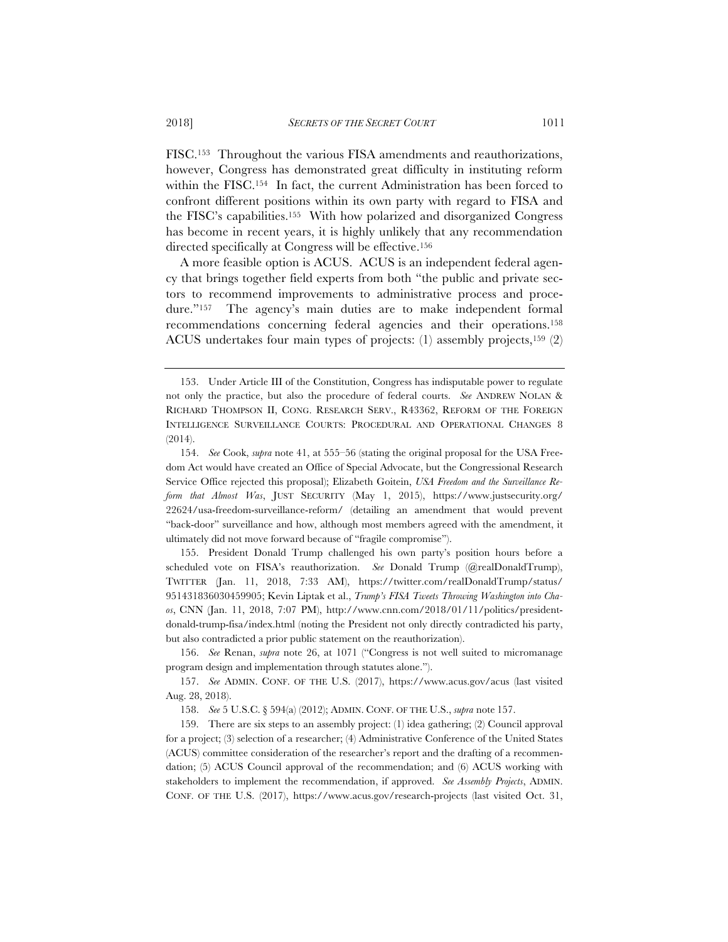FISC.153 Throughout the various FISA amendments and reauthorizations, however, Congress has demonstrated great difficulty in instituting reform within the FISC.<sup>154</sup> In fact, the current Administration has been forced to confront different positions within its own party with regard to FISA and the FISC's capabilities.155 With how polarized and disorganized Congress has become in recent years, it is highly unlikely that any recommendation directed specifically at Congress will be effective.156

A more feasible option is ACUS. ACUS is an independent federal agency that brings together field experts from both "the public and private sectors to recommend improvements to administrative process and procedure."157 The agency's main duties are to make independent formal recommendations concerning federal agencies and their operations.158 ACUS undertakes four main types of projects: (1) assembly projects,159 (2)

155. President Donald Trump challenged his own party's position hours before a scheduled vote on FISA's reauthorization. *See* Donald Trump (@realDonaldTrump), TWITTER (Jan. 11, 2018, 7:33 AM), https://twitter.com/realDonaldTrump/status/ 951431836030459905; Kevin Liptak et al., *Trump's FISA Tweets Throwing Washington into Chaos*, CNN (Jan. 11, 2018, 7:07 PM), http://www.cnn.com/2018/01/11/politics/presidentdonald-trump-fisa/index.html (noting the President not only directly contradicted his party, but also contradicted a prior public statement on the reauthorization).

156. *See* Renan, *supra* note 26, at 1071 ("Congress is not well suited to micromanage program design and implementation through statutes alone.").

157. *See* ADMIN. CONF. OF THE U.S. (2017), https://www.acus.gov/acus (last visited Aug. 28, 2018).

158. *See* 5 U.S.C. § 594(a) (2012); ADMIN. CONF. OF THE U.S., *supra* note 157.

159. There are six steps to an assembly project: (1) idea gathering; (2) Council approval for a project; (3) selection of a researcher; (4) Administrative Conference of the United States (ACUS) committee consideration of the researcher's report and the drafting of a recommendation; (5) ACUS Council approval of the recommendation; and (6) ACUS working with stakeholders to implement the recommendation, if approved. *See Assembly Projects*, ADMIN. CONF. OF THE U.S. (2017), https://www.acus.gov/research-projects (last visited Oct. 31,

<sup>153.</sup> Under Article III of the Constitution, Congress has indisputable power to regulate not only the practice, but also the procedure of federal courts. *See* ANDREW NOLAN & RICHARD THOMPSON II, CONG. RESEARCH SERV., R43362, REFORM OF THE FOREIGN INTELLIGENCE SURVEILLANCE COURTS: PROCEDURAL AND OPERATIONAL CHANGES 8 (2014).

<sup>154.</sup> *See* Cook, *supra* note 41, at 555–56 (stating the original proposal for the USA Freedom Act would have created an Office of Special Advocate, but the Congressional Research Service Office rejected this proposal); Elizabeth Goitein, *USA Freedom and the Surveillance Reform that Almost Was*, JUST SECURITY (May 1, 2015), https://www.justsecurity.org/ 22624/usa-freedom-surveillance-reform/ (detailing an amendment that would prevent "back-door" surveillance and how, although most members agreed with the amendment, it ultimately did not move forward because of "fragile compromise").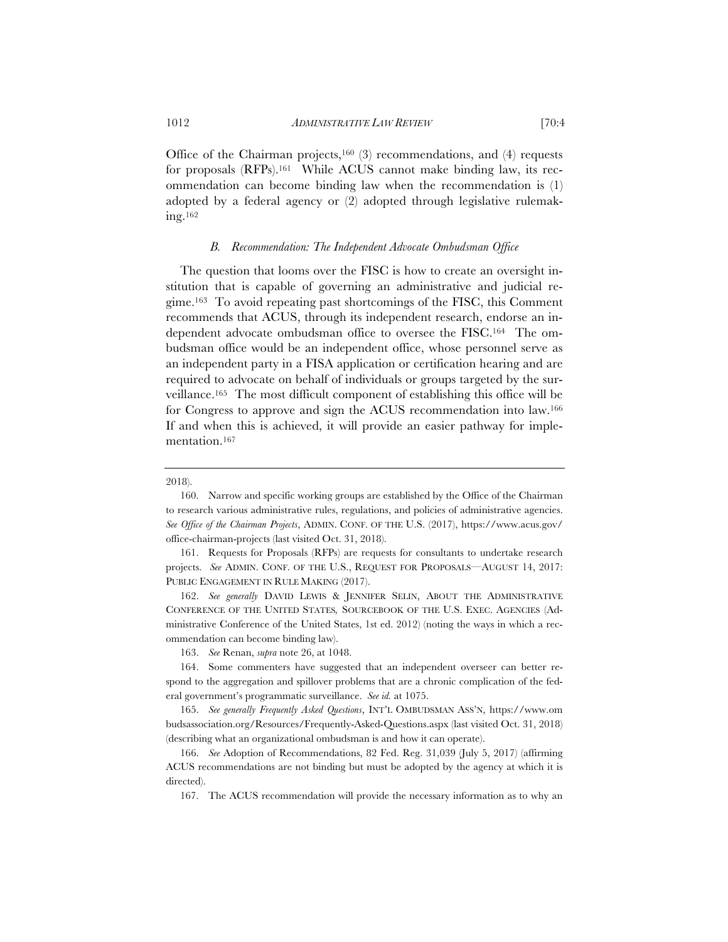Office of the Chairman projects,<sup>160</sup> (3) recommendations, and (4) requests for proposals (RFPs).161 While ACUS cannot make binding law, its recommendation can become binding law when the recommendation is (1) adopted by a federal agency or (2) adopted through legislative rulemaking.162

### *B. Recommendation: The Independent Advocate Ombudsman Office*

The question that looms over the FISC is how to create an oversight institution that is capable of governing an administrative and judicial regime.163 To avoid repeating past shortcomings of the FISC, this Comment recommends that ACUS, through its independent research, endorse an independent advocate ombudsman office to oversee the FISC.164 The ombudsman office would be an independent office, whose personnel serve as an independent party in a FISA application or certification hearing and are required to advocate on behalf of individuals or groups targeted by the surveillance.165 The most difficult component of establishing this office will be for Congress to approve and sign the ACUS recommendation into law.166 If and when this is achieved, it will provide an easier pathway for implementation.167

163. *See* Renan, *supra* note 26, at 1048.

<sup>2018).</sup>

<sup>160.</sup> Narrow and specific working groups are established by the Office of the Chairman to research various administrative rules, regulations, and policies of administrative agencies. *See Office of the Chairman Projects*, ADMIN. CONF. OF THE U.S. (2017), https://www.acus.gov/ office-chairman-projects (last visited Oct. 31, 2018).

<sup>161.</sup> Requests for Proposals (RFPs) are requests for consultants to undertake research projects. *See* ADMIN. CONF. OF THE U.S., REQUEST FOR PROPOSALS—AUGUST 14, 2017: PUBLIC ENGAGEMENT IN RULE MAKING (2017).

<sup>162.</sup> *See generally* DAVID LEWIS & JENNIFER SELIN, ABOUT THE ADMINISTRATIVE CONFERENCE OF THE UNITED STATES*,* SOURCEBOOK OF THE U.S. EXEC. AGENCIES (Administrative Conference of the United States, 1st ed. 2012) (noting the ways in which a recommendation can become binding law).

<sup>164.</sup> Some commenters have suggested that an independent overseer can better respond to the aggregation and spillover problems that are a chronic complication of the federal government's programmatic surveillance. *See id.* at 1075.

<sup>165.</sup> *See generally Frequently Asked Questions*, INT'L OMBUDSMAN ASS'N, https://www.om budsassociation.org/Resources/Frequently-Asked-Questions.aspx (last visited Oct. 31, 2018) (describing what an organizational ombudsman is and how it can operate).

<sup>166.</sup> *See* Adoption of Recommendations, 82 Fed. Reg. 31,039 (July 5, 2017) (affirming ACUS recommendations are not binding but must be adopted by the agency at which it is directed).

<sup>167.</sup> The ACUS recommendation will provide the necessary information as to why an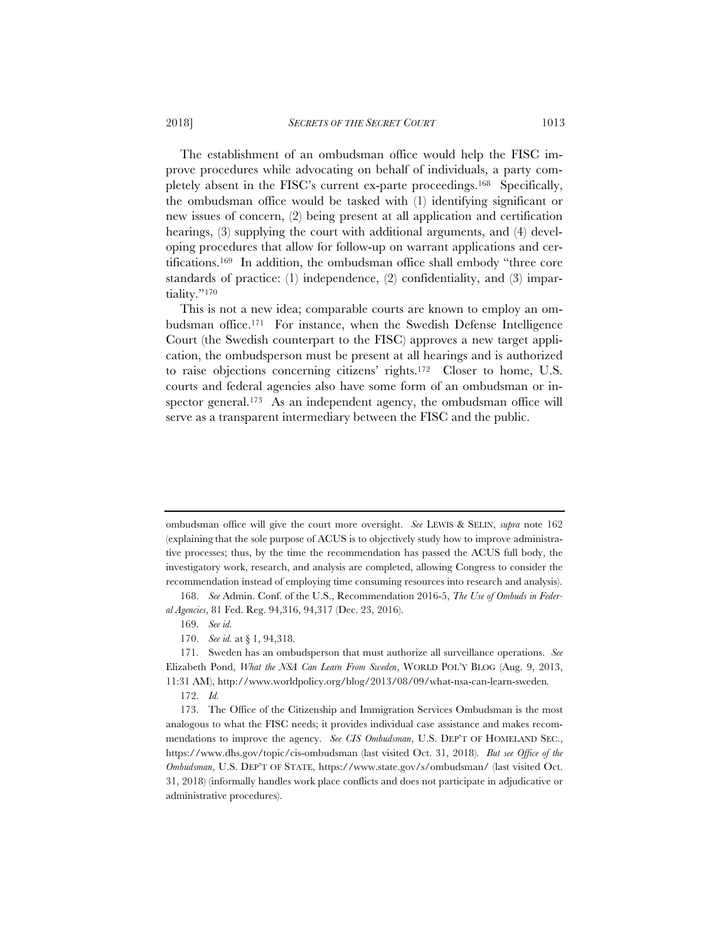The establishment of an ombudsman office would help the FISC improve procedures while advocating on behalf of individuals, a party completely absent in the FISC's current ex-parte proceedings.168 Specifically, the ombudsman office would be tasked with (1) identifying significant or new issues of concern, (2) being present at all application and certification hearings, (3) supplying the court with additional arguments, and (4) developing procedures that allow for follow-up on warrant applications and certifications.169 In addition, the ombudsman office shall embody "three core standards of practice: (1) independence, (2) confidentiality, and (3) impartiality."170

This is not a new idea; comparable courts are known to employ an ombudsman office.171 For instance, when the Swedish Defense Intelligence Court (the Swedish counterpart to the FISC) approves a new target application, the ombudsperson must be present at all hearings and is authorized to raise objections concerning citizens' rights.172 Closer to home, U.S. courts and federal agencies also have some form of an ombudsman or inspector general.<sup>173</sup> As an independent agency, the ombudsman office will serve as a transparent intermediary between the FISC and the public.

ombudsman office will give the court more oversight. *See* LEWIS & SELIN, *supra* note 162 (explaining that the sole purpose of ACUS is to objectively study how to improve administrative processes; thus, by the time the recommendation has passed the ACUS full body, the investigatory work, research, and analysis are completed, allowing Congress to consider the recommendation instead of employing time consuming resources into research and analysis).

<sup>168.</sup> *See* Admin. Conf. of the U.S., Recommendation 2016-5, *The Use of Ombuds in Federal Agencies*, 81 Fed. Reg. 94,316, 94,317 (Dec. 23, 2016).

<sup>169.</sup> *See id.* 

<sup>170.</sup> *See id.* at § 1, 94,318.

<sup>171.</sup> Sweden has an ombudsperson that must authorize all surveillance operations. *See* Elizabeth Pond, *What the NSA Can Learn From Sweden*, WORLD POL'Y BLOG (Aug. 9, 2013, 11:31 AM), http://www.worldpolicy.org/blog/2013/08/09/what-nsa-can-learn-sweden*.*

<sup>172.</sup> *Id.*

<sup>173.</sup> The Office of the Citizenship and Immigration Services Ombudsman is the most analogous to what the FISC needs; it provides individual case assistance and makes recommendations to improve the agency. *See CIS Ombudsman*, U.S. DEP'T OF HOMELAND SEC., https://www.dhs.gov/topic/cis-ombudsman (last visited Oct. 31, 2018). *But see Office of the Ombudsman*, U.S. DEP'T OF STATE, https://www.state.gov/s/ombudsman/ (last visited Oct. 31, 2018) (informally handles work place conflicts and does not participate in adjudicative or administrative procedures).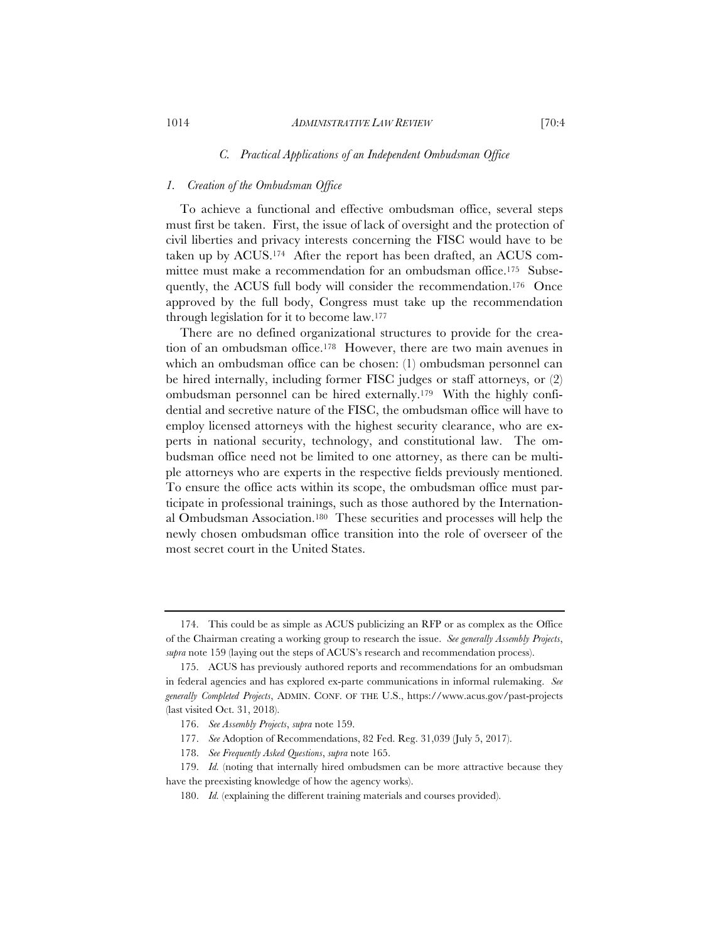#### *1. Creation of the Ombudsman Office*

To achieve a functional and effective ombudsman office, several steps must first be taken. First, the issue of lack of oversight and the protection of civil liberties and privacy interests concerning the FISC would have to be taken up by ACUS.174 After the report has been drafted, an ACUS committee must make a recommendation for an ombudsman office.175 Subsequently, the ACUS full body will consider the recommendation.176 Once approved by the full body, Congress must take up the recommendation through legislation for it to become law.177

There are no defined organizational structures to provide for the creation of an ombudsman office.178 However, there are two main avenues in which an ombudsman office can be chosen: (1) ombudsman personnel can be hired internally, including former FISC judges or staff attorneys, or (2) ombudsman personnel can be hired externally.179 With the highly confidential and secretive nature of the FISC, the ombudsman office will have to employ licensed attorneys with the highest security clearance, who are experts in national security, technology, and constitutional law. The ombudsman office need not be limited to one attorney, as there can be multiple attorneys who are experts in the respective fields previously mentioned. To ensure the office acts within its scope, the ombudsman office must participate in professional trainings, such as those authored by the International Ombudsman Association.180 These securities and processes will help the newly chosen ombudsman office transition into the role of overseer of the most secret court in the United States.

<sup>174.</sup> This could be as simple as ACUS publicizing an RFP or as complex as the Office of the Chairman creating a working group to research the issue. *See generally Assembly Projects*, *supra* note 159 (laying out the steps of ACUS's research and recommendation process).

<sup>175.</sup> ACUS has previously authored reports and recommendations for an ombudsman in federal agencies and has explored ex-parte communications in informal rulemaking. *See generally Completed Projects*, ADMIN. CONF. OF THE U.S., https://www.acus.gov/past-projects (last visited Oct. 31, 2018).

<sup>176.</sup> *See Assembly Projects*, *supra* note 159.

<sup>177.</sup> *See* Adoption of Recommendations, 82 Fed. Reg. 31,039 (July 5, 2017).

<sup>178.</sup> *See Frequently Asked Questions*, *supra* note 165.

<sup>179.</sup> *Id.* (noting that internally hired ombudsmen can be more attractive because they have the preexisting knowledge of how the agency works).

<sup>180.</sup> *Id.* (explaining the different training materials and courses provided).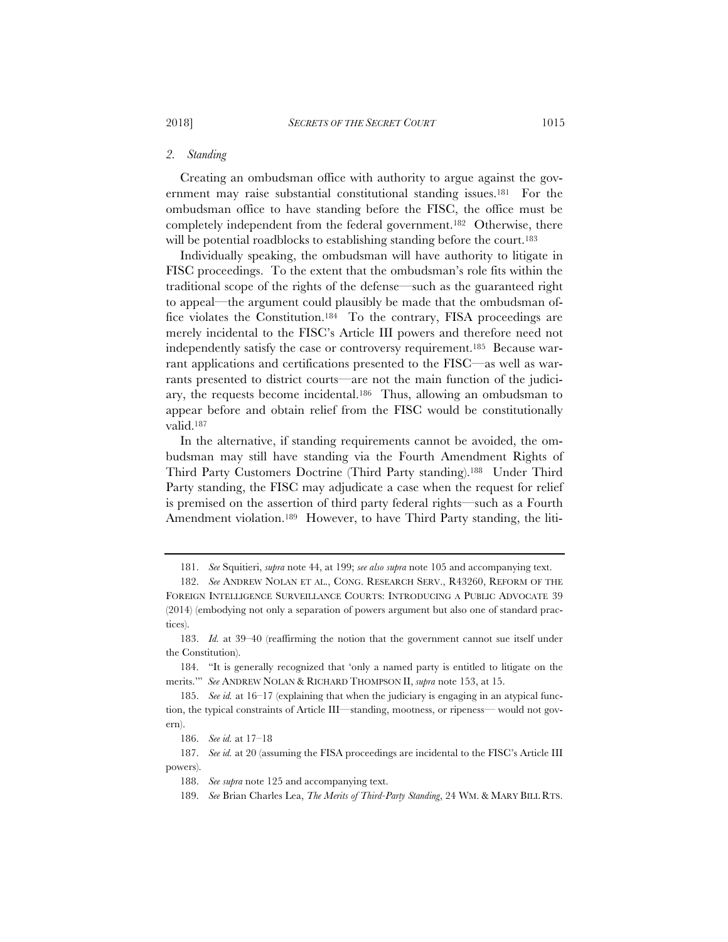#### *2. Standing*

Creating an ombudsman office with authority to argue against the government may raise substantial constitutional standing issues.<sup>181</sup> For the ombudsman office to have standing before the FISC, the office must be completely independent from the federal government.182 Otherwise, there will be potential roadblocks to establishing standing before the court.<sup>183</sup>

Individually speaking, the ombudsman will have authority to litigate in FISC proceedings. To the extent that the ombudsman's role fits within the traditional scope of the rights of the defense—such as the guaranteed right to appeal—the argument could plausibly be made that the ombudsman office violates the Constitution.184 To the contrary, FISA proceedings are merely incidental to the FISC's Article III powers and therefore need not independently satisfy the case or controversy requirement.185 Because warrant applications and certifications presented to the FISC—as well as warrants presented to district courts—are not the main function of the judiciary, the requests become incidental.186 Thus, allowing an ombudsman to appear before and obtain relief from the FISC would be constitutionally valid.187

In the alternative, if standing requirements cannot be avoided, the ombudsman may still have standing via the Fourth Amendment Rights of Third Party Customers Doctrine (Third Party standing).188 Under Third Party standing, the FISC may adjudicate a case when the request for relief is premised on the assertion of third party federal rights—such as a Fourth Amendment violation.<sup>189</sup> However, to have Third Party standing, the liti-

<sup>181.</sup> *See* Squitieri, *supra* note 44, at 199; *see also supra* note 105 and accompanying text.

<sup>182.</sup> *See* ANDREW NOLAN ET AL., CONG. RESEARCH SERV., R43260, REFORM OF THE FOREIGN INTELLIGENCE SURVEILLANCE COURTS: INTRODUCING A PUBLIC ADVOCATE 39 (2014) (embodying not only a separation of powers argument but also one of standard practices).

<sup>183.</sup> *Id.* at 39–40 (reaffirming the notion that the government cannot sue itself under the Constitution).

<sup>184. &</sup>quot;It is generally recognized that 'only a named party is entitled to litigate on the merits.'" *See* ANDREW NOLAN & RICHARD THOMPSON II, *supra* note 153, at 15.

<sup>185.</sup> *See id.* at 16–17 (explaining that when the judiciary is engaging in an atypical function, the typical constraints of Article III—standing, mootness, or ripeness— would not govern).

<sup>186.</sup> *See id.* at 17–18

<sup>187.</sup> *See id.* at 20 (assuming the FISA proceedings are incidental to the FISC's Article III powers).

<sup>188.</sup> *See supra* note 125 and accompanying text.

<sup>189.</sup> See Brian Charles Lea, *The Merits of Third-Party Standing*, 24 WM. & MARY BILL RTS.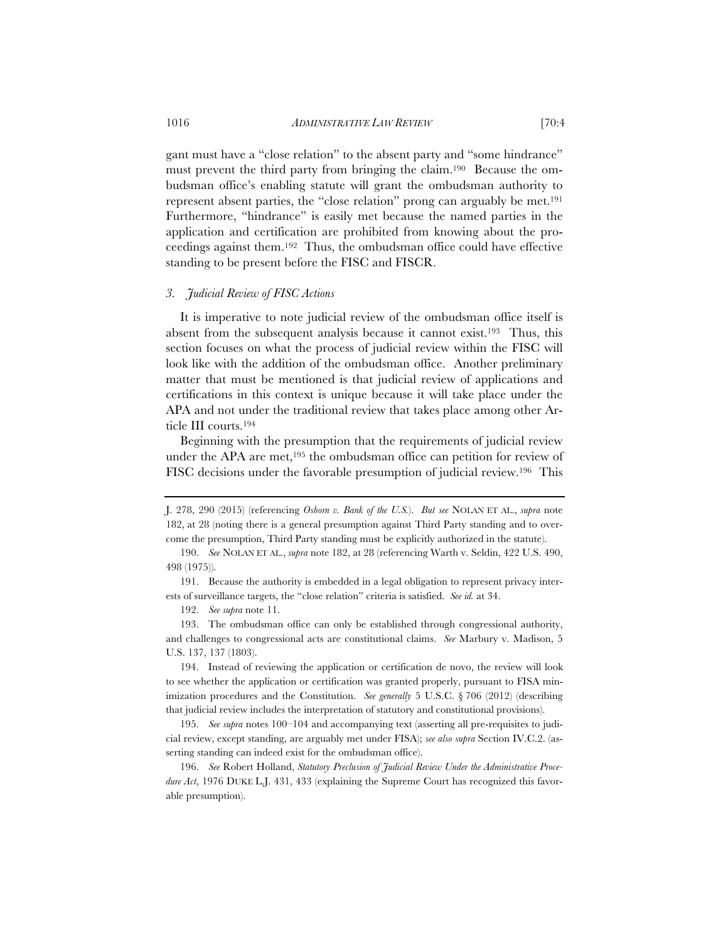gant must have a "close relation" to the absent party and "some hindrance" must prevent the third party from bringing the claim.190 Because the ombudsman office's enabling statute will grant the ombudsman authority to represent absent parties, the "close relation" prong can arguably be met.191 Furthermore, "hindrance" is easily met because the named parties in the application and certification are prohibited from knowing about the proceedings against them.192 Thus, the ombudsman office could have effective standing to be present before the FISC and FISCR.

# *3. Judicial Review of FISC Actions*

It is imperative to note judicial review of the ombudsman office itself is absent from the subsequent analysis because it cannot exist.193 Thus, this section focuses on what the process of judicial review within the FISC will look like with the addition of the ombudsman office. Another preliminary matter that must be mentioned is that judicial review of applications and certifications in this context is unique because it will take place under the APA and not under the traditional review that takes place among other Article III courts.194

Beginning with the presumption that the requirements of judicial review under the APA are met,<sup>195</sup> the ombudsman office can petition for review of FISC decisions under the favorable presumption of judicial review.196 This

J. 278, 290 (2015) (referencing *Osborn v. Bank of the U.S.*). *But see* NOLAN ET AL., *supra* note 182, at 28 (noting there is a general presumption against Third Party standing and to overcome the presumption, Third Party standing must be explicitly authorized in the statute).

<sup>190.</sup> *See* NOLAN ET AL., *supra* note 182, at 28 (referencing Warth v. Seldin, 422 U.S. 490, 498 (1975)).

<sup>191.</sup> Because the authority is embedded in a legal obligation to represent privacy interests of surveillance targets, the "close relation" criteria is satisfied. *See id.* at 34.

<sup>192.</sup> *See supra* note 11.

<sup>193.</sup> The ombudsman office can only be established through congressional authority, and challenges to congressional acts are constitutional claims. *See* Marbury v. Madison, 5 U.S. 137, 137 (1803).

<sup>194.</sup> Instead of reviewing the application or certification de novo, the review will look to see whether the application or certification was granted properly, pursuant to FISA minimization procedures and the Constitution. *See generally* 5 U.S.C. § 706 (2012) (describing that judicial review includes the interpretation of statutory and constitutional provisions).

<sup>195.</sup> *See supra* notes 100–104 and accompanying text (asserting all pre-requisites to judicial review, except standing, are arguably met under FISA); *see also supra* Section IV.C.2. (asserting standing can indeed exist for the ombudsman office).

<sup>196.</sup> *See* Robert Holland, *Statutory Preclusion of Judicial Review Under the Administrative Procedure Act*, 1976 DUKE L.J. 431, 433 (explaining the Supreme Court has recognized this favorable presumption).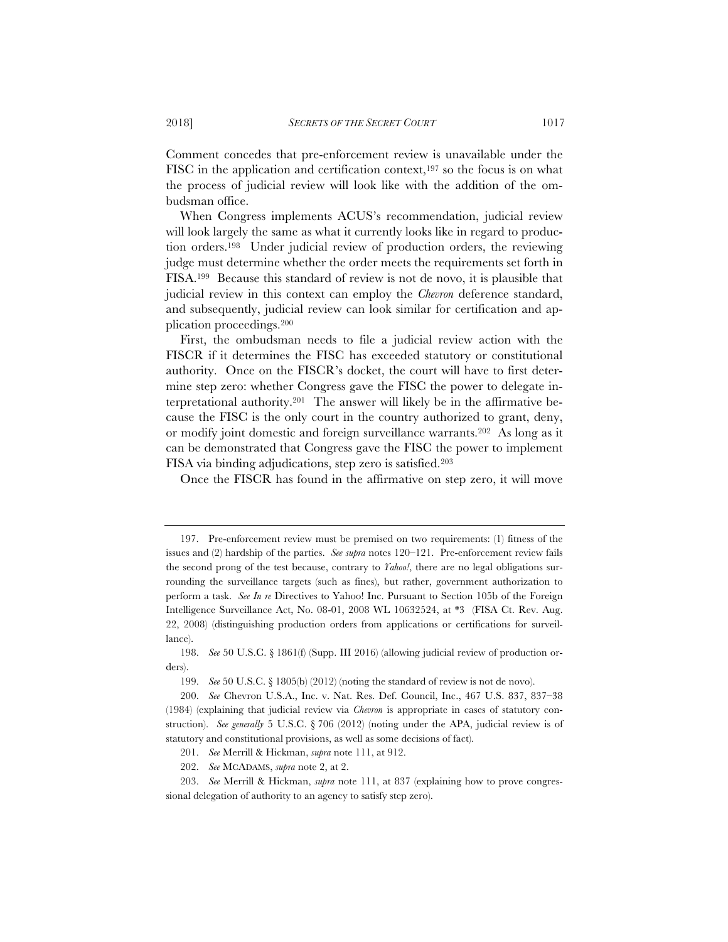Comment concedes that pre-enforcement review is unavailable under the FISC in the application and certification context,<sup>197</sup> so the focus is on what the process of judicial review will look like with the addition of the ombudsman office.

When Congress implements ACUS's recommendation, judicial review will look largely the same as what it currently looks like in regard to production orders.198 Under judicial review of production orders, the reviewing judge must determine whether the order meets the requirements set forth in FISA.199 Because this standard of review is not de novo, it is plausible that judicial review in this context can employ the *Chevron* deference standard, and subsequently, judicial review can look similar for certification and application proceedings.200

First, the ombudsman needs to file a judicial review action with the FISCR if it determines the FISC has exceeded statutory or constitutional authority. Once on the FISCR's docket, the court will have to first determine step zero: whether Congress gave the FISC the power to delegate interpretational authority.201 The answer will likely be in the affirmative because the FISC is the only court in the country authorized to grant, deny, or modify joint domestic and foreign surveillance warrants.202 As long as it can be demonstrated that Congress gave the FISC the power to implement FISA via binding adjudications, step zero is satisfied.203

Once the FISCR has found in the affirmative on step zero, it will move

<sup>197.</sup> Pre-enforcement review must be premised on two requirements: (1) fitness of the issues and (2) hardship of the parties. *See supra* notes 120–121. Pre-enforcement review fails the second prong of the test because, contrary to *Yahoo!*, there are no legal obligations surrounding the surveillance targets (such as fines), but rather, government authorization to perform a task. *See In re* Directives to Yahoo! Inc. Pursuant to Section 105b of the Foreign Intelligence Surveillance Act, No. 08-01, 2008 WL 10632524, at \*3 (FISA Ct. Rev. Aug. 22, 2008) (distinguishing production orders from applications or certifications for surveillance).

<sup>198.</sup> *See* 50 U.S.C. § 1861(f) (Supp. III 2016) (allowing judicial review of production orders).

<sup>199.</sup> *See* 50 U.S.C. § 1805(b) (2012) (noting the standard of review is not de novo).

<sup>200.</sup> *See* Chevron U.S.A., Inc. v. Nat. Res. Def. Council, Inc., 467 U.S. 837, 837–38 (1984) (explaining that judicial review via *Chevron* is appropriate in cases of statutory construction). *See generally* 5 U.S.C. § 706 (2012) (noting under the APA, judicial review is of statutory and constitutional provisions, as well as some decisions of fact).

<sup>201.</sup> *See* Merrill & Hickman, *supra* note 111, at 912.

<sup>202.</sup> *See* MCADAMS, *supra* note 2, at 2.

<sup>203.</sup> *See* Merrill & Hickman, *supra* note 111, at 837 (explaining how to prove congressional delegation of authority to an agency to satisfy step zero).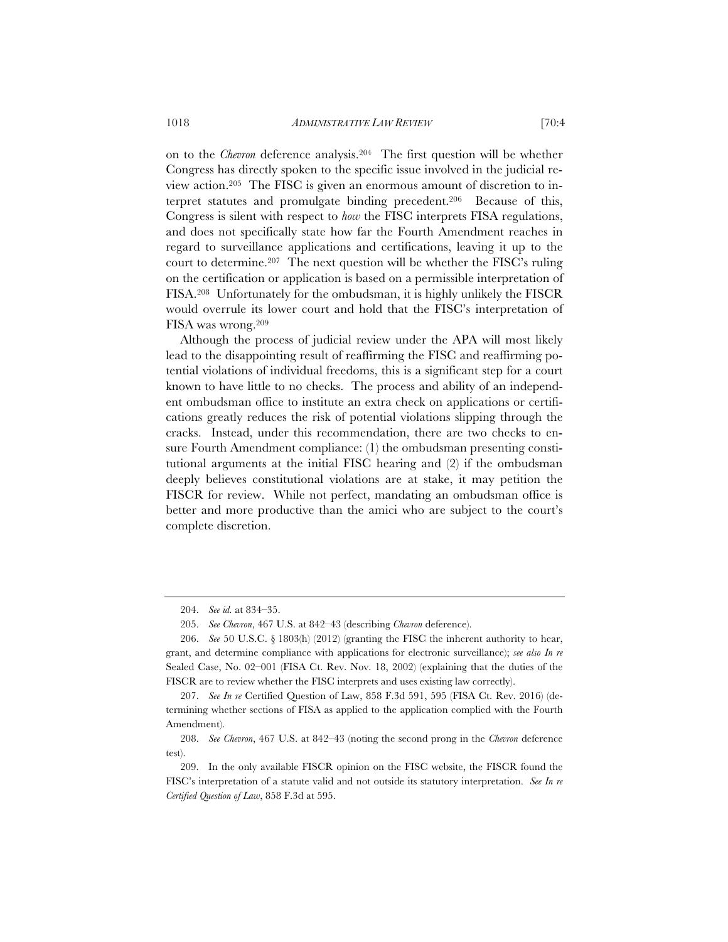on to the *Chevron* deference analysis.204 The first question will be whether Congress has directly spoken to the specific issue involved in the judicial review action.205 The FISC is given an enormous amount of discretion to interpret statutes and promulgate binding precedent.206 Because of this, Congress is silent with respect to *how* the FISC interprets FISA regulations, and does not specifically state how far the Fourth Amendment reaches in regard to surveillance applications and certifications, leaving it up to the court to determine.207 The next question will be whether the FISC's ruling on the certification or application is based on a permissible interpretation of FISA.208 Unfortunately for the ombudsman, it is highly unlikely the FISCR would overrule its lower court and hold that the FISC's interpretation of FISA was wrong.209

Although the process of judicial review under the APA will most likely lead to the disappointing result of reaffirming the FISC and reaffirming potential violations of individual freedoms, this is a significant step for a court known to have little to no checks. The process and ability of an independent ombudsman office to institute an extra check on applications or certifications greatly reduces the risk of potential violations slipping through the cracks. Instead, under this recommendation, there are two checks to ensure Fourth Amendment compliance: (1) the ombudsman presenting constitutional arguments at the initial FISC hearing and (2) if the ombudsman deeply believes constitutional violations are at stake, it may petition the FISCR for review. While not perfect, mandating an ombudsman office is better and more productive than the amici who are subject to the court's complete discretion.

<sup>204.</sup> *See id.* at 834–35.

<sup>205.</sup> *See Chevron*, 467 U.S. at 842–43 (describing *Chevron* deference).

<sup>206.</sup> *See* 50 U.S.C. § 1803(h) (2012) (granting the FISC the inherent authority to hear, grant, and determine compliance with applications for electronic surveillance); *see also In re* Sealed Case, No. 02–001 (FISA Ct. Rev. Nov. 18, 2002) (explaining that the duties of the FISCR are to review whether the FISC interprets and uses existing law correctly).

<sup>207.</sup> *See In re* Certified Question of Law, 858 F.3d 591, 595 (FISA Ct. Rev. 2016) (determining whether sections of FISA as applied to the application complied with the Fourth Amendment).

<sup>208.</sup> *See Chevron*, 467 U.S. at 842–43 (noting the second prong in the *Chevron* deference test).

<sup>209.</sup> In the only available FISCR opinion on the FISC website, the FISCR found the FISC's interpretation of a statute valid and not outside its statutory interpretation. *See In re Certified Question of Law*, 858 F.3d at 595.